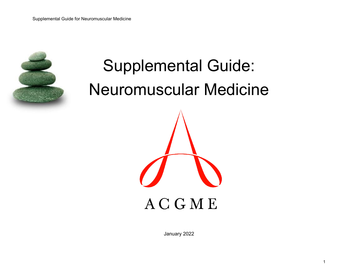

**ACGME** 

January 2022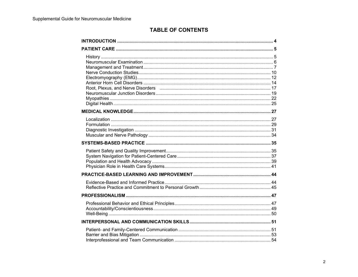# **TABLE OF CONTENTS**

| Root, Plexus, and Nerve Disorders (2000) (2000) (2000) (2000) (2000) (2000) (2000) (2000) (2000) (2000) (2000) |  |
|----------------------------------------------------------------------------------------------------------------|--|
|                                                                                                                |  |
|                                                                                                                |  |
|                                                                                                                |  |
|                                                                                                                |  |
|                                                                                                                |  |
|                                                                                                                |  |
|                                                                                                                |  |
|                                                                                                                |  |
|                                                                                                                |  |
|                                                                                                                |  |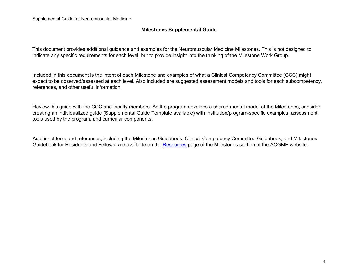#### **Milestones Supplemental Guide**

This document provides additional guidance and examples for the Neuromuscular Medicine Milestones. This is not designed to indicate any specific requirements for each level, but to provide insight into the thinking of the Milestone Work Group.

Included in this document is the intent of each Milestone and examples of what a Clinical Competency Committee (CCC) might expect to be observed/assessed at each level. Also included are suggested assessment models and tools for each subcompetency, references, and other useful information.

Review this guide with the CCC and faculty members. As the program develops a shared mental model of the Milestones, consider creating an individualized guide (Supplemental Guide Template available) with institution/program-specific examples, assessment tools used by the program, and curricular components.

Additional tools and references, including the Milestones Guidebook, Clinical Competency Committee Guidebook, and Milestones Guidebook for Residents and Fellows, are available on the [Resources](https://www.acgme.org/What-We-Do/Accreditation/Milestones/Resources) page of the Milestones section of the ACGME website.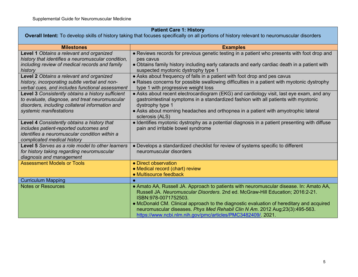## **Patient Care 1: History**

**Overall Intent:** To develop skills of history taking that focuses specifically on all portions of history relevant to neuromuscular disorders

| <b>Examples</b>                                                                                        |
|--------------------------------------------------------------------------------------------------------|
| • Reviews records for previous genetic testing in a patient who presents with foot drop and            |
| pes cavus                                                                                              |
| • Obtains family history including early cataracts and early cardiac death in a patient with           |
| suspected myotonic dystrophy type 1                                                                    |
| • Asks about frequency of falls in a patient with foot drop and pes cavus                              |
| • Raises concerns for possible swallowing difficulties in a patient with myotonic dystrophy            |
| type 1 with progressive weight loss                                                                    |
| • Asks about recent electrocardiogram (EKG) and cardiology visit, last eye exam, and any               |
| gastrointestinal symptoms in a standardized fashion with all patients with myotonic                    |
| dystrophy type 1                                                                                       |
| • Asks about morning headaches and orthopnea in a patient with amyotrophic lateral                     |
| sclerosis (ALS)                                                                                        |
| • Identifies myotonic dystrophy as a potential diagnosis in a patient presenting with diffuse          |
| pain and irritable bowel syndrome                                                                      |
|                                                                                                        |
|                                                                                                        |
| • Develops a standardized checklist for review of systems specific to different                        |
| neuromuscular disorders                                                                                |
|                                                                                                        |
| • Direct observation                                                                                   |
| • Medical record (chart) review                                                                        |
| • Multisource feedback                                                                                 |
|                                                                                                        |
| • Amato AA, Russell JA. Approach to patients with neuromuscular disease. In: Amato AA,                 |
| Russell JA. Neuromuscular Disorders. 2nd ed. McGraw-Hill Education; 2016:2-21.<br>ISBN:978-0071752503. |
| • McDonald CM. Clinical approach to the diagnostic evaluation of hereditary and acquired               |
| neuromuscular diseases. Phys Med Rehabil Clin N Am. 2012 Aug;23(3):495-563.                            |
| https://www.ncbi.nlm.nih.gov/pmc/articles/PMC3482409/. 2021.                                           |
|                                                                                                        |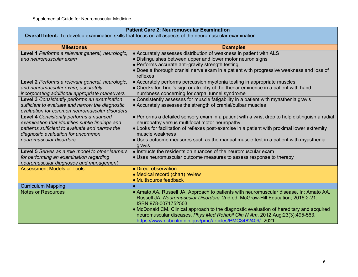| <b>Patient Care 2: Neuromuscular Examination</b>                                                         |                                                                                                     |
|----------------------------------------------------------------------------------------------------------|-----------------------------------------------------------------------------------------------------|
| Overall Intent: To develop examination skills that focus on all aspects of the neuromuscular examination |                                                                                                     |
| <b>Milestones</b>                                                                                        | <b>Examples</b>                                                                                     |
| Level 1 Performs a relevant general, neurologic,                                                         | • Accurately assesses distribution of weakness in patient with ALS                                  |
| and neuromuscular exam                                                                                   | • Distinguishes between upper and lower motor neuron signs                                          |
|                                                                                                          | • Performs accurate anti-gravity strength testing                                                   |
|                                                                                                          | • Does a thorough cranial nerve exam in a patient with progressive weakness and loss of<br>reflexes |
| Level 2 Performs a relevant general, neurologic,                                                         | • Accurately performs percussion myotonia testing in appropriate muscles                            |
| and neuromuscular exam, accurately                                                                       | • Checks for Tinel's sign or atrophy of the thenar eminence in a patient with hand                  |
| incorporating additional appropriate maneuvers                                                           | numbness concerning for carpal tunnel syndrome                                                      |
| Level 3 Consistently performs an examination                                                             | • Consistently assesses for muscle fatigability in a patient with myasthenia gravis                 |
| sufficient to evaluate and narrow the diagnostic<br>evaluation for common neuromuscular disorders        | • Accurately assesses the strength of cranial/bulbar muscles                                        |
| Level 4 Consistently performs a nuanced                                                                  | • Performs a detailed sensory exam in a patient with a wrist drop to help distinguish a radial      |
| examination that identifies subtle findings and                                                          | neuropathy versus multifocal motor neuropathy                                                       |
| patterns sufficient to evaluate and narrow the                                                           | • Looks for facilitation of reflexes post-exercise in a patient with proximal lower extremity       |
| diagnostic evaluation for uncommon                                                                       | muscle weakness                                                                                     |
| neuromuscular disorders                                                                                  | • Uses outcome measures such as the manual muscle test in a patient with myasthenia<br>gravis       |
| Level 5 Serves as a role model to other learners                                                         | • Instructs the residents on nuances of the neuromuscular exam                                      |
| for performing an examination regarding                                                                  | • Uses neuromuscular outcome measures to assess response to therapy                                 |
| neuromuscular diagnoses and management                                                                   |                                                                                                     |
| <b>Assessment Models or Tools</b>                                                                        | • Direct observation                                                                                |
|                                                                                                          | • Medical record (chart) review                                                                     |
|                                                                                                          | • Multisource feedback                                                                              |
| <b>Curriculum Mapping</b><br><b>Notes or Resources</b>                                                   | $\bullet$<br>• Amato AA, Russell JA. Approach to patients with neuromuscular disease. In: Amato AA, |
|                                                                                                          | Russell JA. Neuromuscular Disorders. 2nd ed. McGraw-Hill Education; 2016:2-21.                      |
|                                                                                                          | ISBN:978-0071752503.                                                                                |
|                                                                                                          | • McDonald CM. Clinical approach to the diagnostic evaluation of hereditary and acquired            |
|                                                                                                          | neuromuscular diseases. Phys Med Rehabil Clin N Am. 2012 Aug;23(3):495-563.                         |
|                                                                                                          | https://www.ncbi.nlm.nih.gov/pmc/articles/PMC3482409/. 2021.                                        |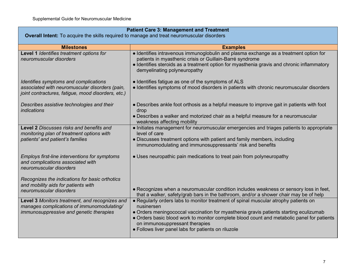| <b>Patient Care 3: Management and Treatment</b><br><b>Overall Intent:</b> To acquire the skills required to manage and treat neuromuscular disorders |                                                                                                                                                                                                                                                                                                                                                                                   |
|------------------------------------------------------------------------------------------------------------------------------------------------------|-----------------------------------------------------------------------------------------------------------------------------------------------------------------------------------------------------------------------------------------------------------------------------------------------------------------------------------------------------------------------------------|
| <b>Milestones</b>                                                                                                                                    | <b>Examples</b>                                                                                                                                                                                                                                                                                                                                                                   |
| Level 1 Identifies treatment options for<br>neuromuscular disorders                                                                                  | • Identifies intravenous immunoglobulin and plasma exchange as a treatment option for<br>patients in myasthenic crisis or Guillain-Barré syndrome<br>• Identifies steroids as a treatment option for myasthenia gravis and chronic inflammatory<br>demyelinating polyneuropathy                                                                                                   |
| Identifies symptoms and complications<br>associated with neuromuscular disorders (pain,<br>joint contractures, fatigue, mood disorders, etc.)        | • Identifies fatigue as one of the symptoms of ALS<br>• Identifies symptoms of mood disorders in patients with chronic neuromuscular disorders                                                                                                                                                                                                                                    |
| Describes assistive technologies and their<br>indications                                                                                            | • Describes ankle foot orthosis as a helpful measure to improve gait in patients with foot<br>drop<br>• Describes a walker and motorized chair as a helpful measure for a neuromuscular<br>weakness affecting mobility                                                                                                                                                            |
| Level 2 Discusses risks and benefits and<br>monitoring plan of treatment options with<br>patients' and patient's families                            | • Initiates management for neuromuscular emergencies and triages patients to appropriate<br>level of care<br>• Discusses treatment options with patient and family members, including<br>immunomodulating and immunosuppressants' risk and benefits                                                                                                                               |
| Employs first-line interventions for symptoms<br>and complications associated with<br>neuromuscular disorders                                        | • Uses neuropathic pain medications to treat pain from polyneuropathy                                                                                                                                                                                                                                                                                                             |
| Recognizes the indications for basic orthotics<br>and mobility aids for patients with<br>neuromuscular disorders                                     | • Recognizes when a neuromuscular condition includes weakness or sensory loss in feet,<br>that a walker, safety/grab bars in the bathroom, and/or a shower chair may be of help                                                                                                                                                                                                   |
| Level 3 Monitors treatment, and recognizes and<br>manages complications of immunomodulating/<br>immunosuppressive and genetic therapies              | • Regularly orders labs to monitor treatment of spinal muscular atrophy patients on<br>nusinersen<br>• Orders meningococcal vaccination for myasthenia gravis patients starting eculizumab<br>• Orders basic blood work to monitor complete blood count and metabolic panel for patients<br>on immunosuppressant therapies<br>• Follows liver panel labs for patients on riluzole |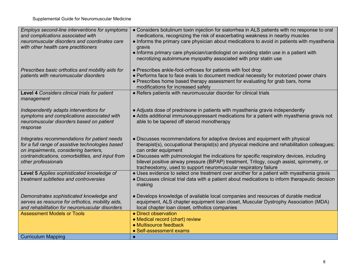| Employs second-line interventions for symptoms<br>and complications associated with                                                            | • Considers botulinum toxin injection for sialorrhea in ALS patients with no response to oral<br>medications, recognizing the risk of exacerbating weakness in nearby muscles                                                                              |
|------------------------------------------------------------------------------------------------------------------------------------------------|------------------------------------------------------------------------------------------------------------------------------------------------------------------------------------------------------------------------------------------------------------|
| neuromuscular disorders and coordinates care<br>with other health care practitioners                                                           | • Informs the primary care physician about medications to avoid in patients with myasthenia<br>gravis                                                                                                                                                      |
|                                                                                                                                                | • Informs primary care physician/cardiologist on avoiding statin use in a patient with<br>necrotizing autoimmune myopathy associated with prior statin use                                                                                                 |
| Prescribes basic orthotics and mobility aids for                                                                                               | • Prescribes ankle-foot-orthoses for patients with foot drop                                                                                                                                                                                               |
| patients with neuromuscular disorders                                                                                                          | • Performs face to face evals to document medical necessity for motorized power chairs<br>• Prescribes home based therapy assessment for evaluating for grab bars, home<br>modifications for increased safety                                              |
| Level 4 Considers clinical trials for patient<br>management                                                                                    | • Refers patients with neuromuscular disorder for clinical trials                                                                                                                                                                                          |
| Independently adapts interventions for<br>symptoms and complications associated with<br>neuromuscular disorders based on patient<br>response   | • Adjusts dose of prednisone in patients with myasthenia gravis independently<br>• Adds additional immunosuppressant medications for a patient with myasthenia gravis not<br>able to be tapered off steroid monotherapy                                    |
| Integrates recommendations for patient needs<br>for a full range of assistive technologies based<br>on impairments, considering barriers,      | • Discusses recommendations for adaptive devices and equipment with physical<br>therapist(s), occupational therapist(s) and physical medicine and rehabilitation colleagues;<br>can order equipment                                                        |
| contraindications, comorbidities, and input from<br>other professionals                                                                        | • Discusses with pulmonologist the indications for specific respiratory devices, including<br>bilevel positive airway pressure (BiPAP) treatment, Trilogy, cough assist, spirometry, or<br>tracheostomy, used to support neuromuscular respiratory failure |
| Level 5 Applies sophisticated knowledge of<br>treatment subtleties and controversies                                                           | • Uses evidence to select one treatment over another for a patient with myasthenia gravis<br>• Discusses clinical trial data with a patient about medications to inform therapeutic decision<br>making                                                     |
| Demonstrates sophisticated knowledge and<br>serves as resource for orthotics, mobility aids,<br>and rehabilitation for neuromuscular disorders | • Develops knowledge of available local companies and resources of durable medical<br>equipment, ALS chapter equipment loan closet, Muscular Dystrophy Association (MDA)<br>local chapter loan closet, orthotics companies                                 |
| <b>Assessment Models or Tools</b>                                                                                                              | • Direct observation                                                                                                                                                                                                                                       |
|                                                                                                                                                | • Medical record (chart) review<br>• Multisource feedback                                                                                                                                                                                                  |
|                                                                                                                                                | • Self-assessment exams                                                                                                                                                                                                                                    |
| <b>Curriculum Mapping</b>                                                                                                                      |                                                                                                                                                                                                                                                            |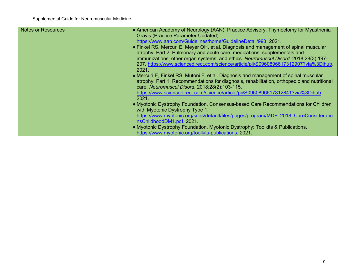| <b>Notes or Resources</b> | • American Academy of Neurology (AAN). Practice Advisory: Thymectomy for Myasthenia        |
|---------------------------|--------------------------------------------------------------------------------------------|
|                           | Gravis (Practice Parameter Updated).                                                       |
|                           | https://www.aan.com/Guidelines/home/GuidelineDetail/993. 2021.                             |
|                           | • Finkel RS, Mercuri E, Meyer OH, et al. Diagnosis and management of spinal muscular       |
|                           | atrophy: Part 2: Pulmonary and acute care; medications; supplementals and                  |
|                           | immunizations; other organ systems; and ethics. Neuromuscul Disord. 2018;28(3):197-        |
|                           | 207. https://www.sciencedirect.com/science/article/pii/S0960896617312907?via%3Dihub.       |
|                           | 2021.                                                                                      |
|                           | • Mercuri E, Finkel RS, Mutoni F, et al. Diagnosis and management of spinal muscular       |
|                           | atrophy: Part 1: Recommendations for diagnosis, rehabilitation, orthopedic and nutritional |
|                           | care. Neuromuscul Disord. 2018;28(2):103-115.                                              |
|                           | https://www.sciencedirect.com/science/article/pii/S0960896617312841?via%3Dihub.            |
|                           | 2021.                                                                                      |
|                           | • Myotonic Dystrophy Foundation. Consensus-based Care Recommendations for Children         |
|                           | with Myotonic Dystrophy Type 1.                                                            |
|                           | https://www.myotonic.org/sites/default/files/pages/program/MDF 2018 CareConsideratio       |
|                           | nsChildhoodDM1.pdf. 2021.                                                                  |
|                           | • Myotonic Dystrophy Foundation. Myotonic Dystrophy: Toolkits & Publications.              |
|                           | https://www.myotonic.org/toolkits-publications. 2021.                                      |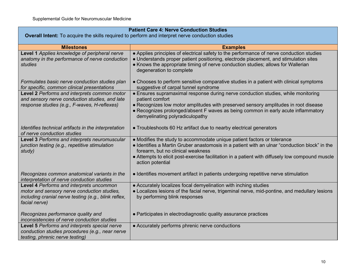| <b>Patient Care 4: Nerve Conduction Studies</b>                                                                                                                  |                                                                                                                                                                                                                                                                                                                                      |  |  |
|------------------------------------------------------------------------------------------------------------------------------------------------------------------|--------------------------------------------------------------------------------------------------------------------------------------------------------------------------------------------------------------------------------------------------------------------------------------------------------------------------------------|--|--|
|                                                                                                                                                                  | <b>Overall Intent:</b> To acquire the skills required to perform and interpret nerve conduction studies                                                                                                                                                                                                                              |  |  |
| <b>Milestones</b>                                                                                                                                                | <b>Examples</b>                                                                                                                                                                                                                                                                                                                      |  |  |
| Level 1 Applies knowledge of peripheral nerve<br>anatomy in the performance of nerve conduction<br>studies                                                       | • Applies principles of electrical safety to the performance of nerve conduction studies<br>• Understands proper patient positioning, electrode placement, and stimulation sites<br>• Knows the appropriate timing of nerve conduction studies; allows for Wallerian<br>degeneration to complete                                     |  |  |
| Formulates basic nerve conduction studies plan<br>for specific, common clinical presentations                                                                    | • Chooses to perform sensitive comparative studies in a patient with clinical symptoms<br>suggestive of carpal tunnel syndrome                                                                                                                                                                                                       |  |  |
| Level 2 Performs and interprets common motor<br>and sensory nerve conduction studies, and late<br>response studies (e.g., F-waves, H-reflexes)                   | • Ensures supramaximal response during nerve conduction studies, while monitoring<br>patient comfort<br>• Recognizes low motor amplitudes with preserved sensory amplitudes in root disease<br>• Recognizes prolonged/absent F waves as being common in early acute inflammatory<br>demyelinating polyradiculopathy                  |  |  |
| Identifies technical artifacts in the interpretation<br>of nerve conduction studies                                                                              | • Troubleshoots 60 Hz artifact due to nearby electrical generators                                                                                                                                                                                                                                                                   |  |  |
| Level 3 Performs and interprets neuromuscular<br>junction testing (e.g., repetitive stimulation<br>study)                                                        | • Modifies the study to accommodate unique patient factors or tolerance<br>• Identifies a Martin Gruber anastomosis in a patient with an ulnar "conduction block" in the<br>forearm, but no clinical weakness<br>• Attempts to elicit post-exercise facilitation in a patient with diffusely low compound muscle<br>action potential |  |  |
| Recognizes common anatomical variants in the<br>interpretation of nerve conduction studies                                                                       | • Identifies movement artifact in patients undergoing repetitive nerve stimulation                                                                                                                                                                                                                                                   |  |  |
| Level 4 Performs and interprets uncommon<br>motor and sensory nerve conduction studies,<br>including cranial nerve testing (e.g., blink reflex,<br>facial nerve) | • Accurately localizes focal demyelination with inching studies<br>• Localizes lesions of the facial nerve, trigeminal nerve, mid-pontine, and medullary lesions<br>by performing blink responses                                                                                                                                    |  |  |
| Recognizes performance quality and<br>inconsistencies of nerve conduction studies                                                                                | • Participates in electrodiagnostic quality assurance practices                                                                                                                                                                                                                                                                      |  |  |
| Level 5 Performs and interprets special nerve<br>conduction studies procedures (e.g., near nerve<br>testing, phrenic nerve testing)                              | • Accurately performs phrenic nerve conductions                                                                                                                                                                                                                                                                                      |  |  |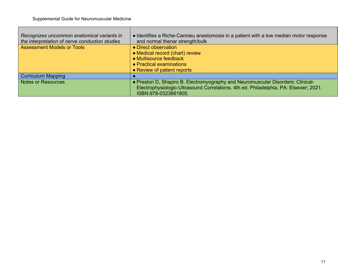| Recognizes uncommon anatomical variants in<br>the interpretation of nerve conduction studies | • Identifies a Riche-Cannieu anastomosis in a patient with a low median motor response<br>and normal thenar strength/bulk                                                                        |
|----------------------------------------------------------------------------------------------|--------------------------------------------------------------------------------------------------------------------------------------------------------------------------------------------------|
| <b>Assessment Models or Tools</b>                                                            | • Direct observation<br>• Medical record (chart) review<br>• Multisource feedback<br>• Practical examinations<br>• Review of patient reports                                                     |
| <b>Curriculum Mapping</b>                                                                    |                                                                                                                                                                                                  |
| <b>Notes or Resources</b>                                                                    | • Preston D, Shapiro B. Electromyography and Neuromuscular Disorders: Clinical-<br>Electrophysiologic-Ultrasound Correlations. 4th ed. Philadelphia, PA: Elsevier; 2021.<br>ISBN:978-0323661805. |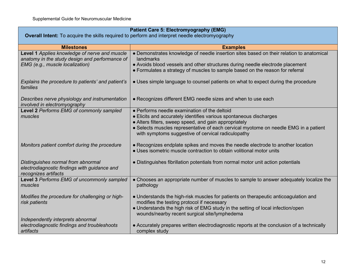| <b>Patient Care 5: Electromyography (EMG)</b>                                                                                      |                                                                                                                                                                                                                                                                                                                           |  |
|------------------------------------------------------------------------------------------------------------------------------------|---------------------------------------------------------------------------------------------------------------------------------------------------------------------------------------------------------------------------------------------------------------------------------------------------------------------------|--|
|                                                                                                                                    | <b>Overall Intent:</b> To acquire the skills required to perform and interpret needle electromyography                                                                                                                                                                                                                    |  |
| <b>Milestones</b>                                                                                                                  | <b>Examples</b>                                                                                                                                                                                                                                                                                                           |  |
| Level 1 Applies knowledge of nerve and muscle<br>anatomy in the study design and performance of<br>EMG (e.g., muscle localization) | • Demonstrates knowledge of needle insertion sites based on their relation to anatomical<br>landmarks<br>• Avoids blood vessels and other structures during needle electrode placement<br>• Formulates a strategy of muscles to sample based on the reason for referral                                                   |  |
| Explains the procedure to patients' and patient's<br>families                                                                      | • Uses simple language to counsel patients on what to expect during the procedure                                                                                                                                                                                                                                         |  |
| Describes nerve physiology and instrumentation<br>involved in electromyography                                                     | • Recognizes different EMG needle sizes and when to use each                                                                                                                                                                                                                                                              |  |
| Level 2 Performs EMG of commonly sampled<br>muscles                                                                                | • Performs needle examination of the deltoid<br>• Elicits and accurately identifies various spontaneous discharges<br>• Alters filters, sweep speed, and gain appropriately<br>• Selects muscles representative of each cervical myotome on needle EMG in a patient<br>with symptoms suggestive of cervical radiculopathy |  |
| Monitors patient comfort during the procedure                                                                                      | • Recognizes endplate spikes and moves the needle electrode to another location<br>• Uses isometric muscle contraction to obtain volitional motor units                                                                                                                                                                   |  |
| Distinguishes normal from abnormal<br>electrodiagnostic findings with guidance and<br>recognizes artifacts                         | • Distinguishes fibrillation potentials from normal motor unit action potentials                                                                                                                                                                                                                                          |  |
| Level 3 Performs EMG of uncommonly sampled<br>muscles                                                                              | • Chooses an appropriate number of muscles to sample to answer adequately localize the<br>pathology                                                                                                                                                                                                                       |  |
| Modifies the procedure for challenging or high-<br>risk patients                                                                   | • Understands the high-risk muscles for patients on therapeutic anticoagulation and<br>modifies the testing protocol if necessary<br>• Understands the high risk of EMG study in the setting of local infection/open<br>wounds/nearby recent surgical site/lymphedema                                                     |  |
| Independently interprets abnormal<br>electrodiagnostic findings and troubleshoots<br>artifacts                                     | • Accurately prepares written electrodiagnostic reports at the conclusion of a technically<br>complex study                                                                                                                                                                                                               |  |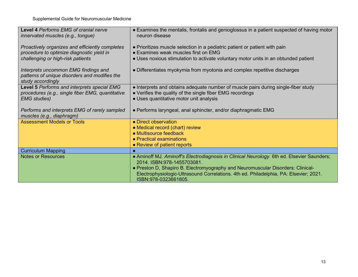| Level 4 Performs EMG of cranial nerve<br>innervated muscles (e.g., tongue)                                 | • Examines the mentalis, frontalis and genioglossus in a patient suspected of having motor<br>neuron disease                                    |
|------------------------------------------------------------------------------------------------------------|-------------------------------------------------------------------------------------------------------------------------------------------------|
| Proactively organizes and efficiently completes<br>procedure to optimize diagnostic yield in               | • Prioritizes muscle selection in a pediatric patient or patient with pain<br>• Examines weak muscles first on EMG                              |
| challenging or high-risk patients                                                                          | • Uses noxious stimulation to activate voluntary motor units in an obtunded patient                                                             |
| Interprets uncommon EMG findings and<br>patterns of unique disorders and modifies the<br>study accordingly | • Differentiates myokymia from myotonia and complex repetitive discharges                                                                       |
| Level 5 Performs and interprets special EMG<br>procedures (e.g., single fiber EMG, quantitative            | • Interprets and obtains adequate number of muscle pairs during single-fiber study<br>• Verifies the quality of the single fiber EMG recordings |
| <b>EMG</b> studies)                                                                                        | • Uses quantitative motor unit analysis                                                                                                         |
| Performs and interprets EMG of rarely sampled<br>muscles (e.g., diaphragm)                                 | • Performs laryngeal, anal sphincter, and/or diaphragmatic EMG                                                                                  |
| <b>Assessment Models or Tools</b>                                                                          | • Direct observation                                                                                                                            |
|                                                                                                            | • Medical record (chart) review<br>• Multisource feedback                                                                                       |
|                                                                                                            | • Practical examinations                                                                                                                        |
|                                                                                                            | • Review of patient reports                                                                                                                     |
| <b>Curriculum Mapping</b>                                                                                  |                                                                                                                                                 |
| <b>Notes or Resources</b>                                                                                  | • Aminoff MJ. Aminoff's Electrodiagnosis in Clinical Neurology. 6th ed. Elsevier Saunders;<br>2014. ISBN:978-1455703081.                        |
|                                                                                                            | • Preston D, Shapiro B. Electromyography and Neuromuscular Disorders: Clinical-                                                                 |
|                                                                                                            | Electrophysiologic-Ultrasound Correlations. 4th ed. Philadelphia, PA: Elsevier; 2021.<br>ISBN:978-0323661805.                                   |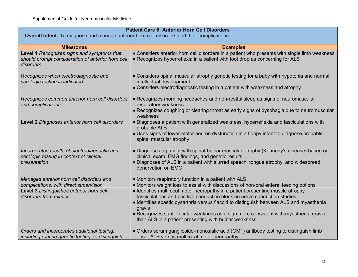| <b>Patient Care 6: Anterior Horn Cell Disorders</b>                                                          |                                                                                                                                                                                                                                                                                                                                                                                                                    |
|--------------------------------------------------------------------------------------------------------------|--------------------------------------------------------------------------------------------------------------------------------------------------------------------------------------------------------------------------------------------------------------------------------------------------------------------------------------------------------------------------------------------------------------------|
| Overall Intent: To diagnose and manage anterior horn cell disorders and their complications                  |                                                                                                                                                                                                                                                                                                                                                                                                                    |
| <b>Milestones</b>                                                                                            | <b>Examples</b>                                                                                                                                                                                                                                                                                                                                                                                                    |
| Level 1 Recognizes signs and symptoms that<br>should prompt consideration of anterior horn cell<br>disorders | • Considers anterior horn cell disorders in a patient who presents with single limb weakness<br>• Recognizes hyperreflexia in a patient with foot drop as concerning for ALS                                                                                                                                                                                                                                       |
| Recognizes when electrodiagnostic and<br>serologic testing is indicated                                      | • Considers spinal muscular atrophy genetic testing for a baby with hypotonia and normal<br>intellectual development<br>• Considers electrodiagnostic testing in a patient with weakness and atrophy                                                                                                                                                                                                               |
| Recognizes common anterior horn cell disorders<br>and complications                                          | • Recognizes morning headaches and non-restful sleep as signs of neuromuscular<br>respiratory weakness<br>• Recognizes coughing or clearing throat as early signs of dysphagia due to neuromuscular<br>weakness                                                                                                                                                                                                    |
| Level 2 Diagnoses anterior horn cell disorders                                                               | • Diagnoses a patient with generalized weakness, hyperreflexia and fasciculations with<br>probable ALS<br>• Uses signs of lower motor neuron dysfunction in a floppy infant to diagnose probable<br>spinal muscular atrophy                                                                                                                                                                                        |
| Incorporates results of electrodiagnostic and<br>serologic testing in context of clinical<br>presentation    | • Diagnoses a patient with spinal-bulbar muscular atrophy (Kennedy's disease) based on<br>clinical exam, EMG findings, and genetic results<br>• Diagnoses of ALS in a patient with slurred speech, tongue atrophy, and widespread<br>denervation on EMG                                                                                                                                                            |
| Manages anterior horn cell disorders and<br>complications, with direct supervision                           | • Monitors respiratory function in a patient with ALS<br>• Monitors weight loss to assist with discussions of non-oral enteral feeding options                                                                                                                                                                                                                                                                     |
| Level 3 Distinguishes anterior horn cell<br>disorders from mimics                                            | • Identifies multifocal motor neuropathy in a patient presenting muscle atrophy<br>fasciculations and positive conduction block on nerve conduction studies<br>• Identifies spastic dysarthria versus flaccid to distinguish between ALS and myasthenia<br>gravis<br>• Recognizes subtle ocular weakness as a sign more consistent with myasthenia gravis<br>than ALS in a patient presenting with bulbar weakness |
| Orders and incorporates additional testing,<br>including routine genetic testing, to distinguish             | • Orders serum ganglioside-monosialic acid (GM1) antibody testing to distinguish limb<br>onset ALS versus multifocal motor neuropathy                                                                                                                                                                                                                                                                              |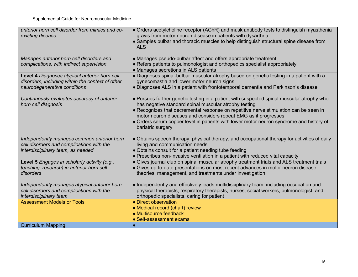| anterior horn cell disorder from mimics and co-                                | • Orders acetylcholine receptor (AChR) and musk antibody tests to distinguish myasthenia                                                       |
|--------------------------------------------------------------------------------|------------------------------------------------------------------------------------------------------------------------------------------------|
| existing disease                                                               | gravis from motor neuron disease in patients with dysarthria                                                                                   |
|                                                                                | • Samples bulbar and thoracic muscles to help distinguish structural spine disease from<br><b>ALS</b>                                          |
| Manages anterior horn cell disorders and                                       | • Manages pseudo-bulbar affect and offers appropriate treatment                                                                                |
| complications, with indirect supervision                                       | • Refers patients to pulmonologist and orthopedics specialist appropriately                                                                    |
|                                                                                | • Manages secretions in ALS patients                                                                                                           |
| Level 4 Diagnoses atypical anterior horn cell                                  | · Diagnoses spinal-bulbar muscular atrophy based on genetic testing in a patient with a                                                        |
| disorders, including within the context of other                               | gynecomastia and lower motor neuron signs                                                                                                      |
| neurodegenerative conditions                                                   | • Diagnoses ALS in a patient with frontotemporal dementia and Parkinson's disease                                                              |
|                                                                                |                                                                                                                                                |
| Continuously evaluates accuracy of anterior                                    | • Pursues further genetic testing in a patient with suspected spinal muscular atrophy who                                                      |
| horn cell diagnosis                                                            | has negative standard spinal muscular atrophy testing<br>• Recognizes that decremental response on repetitive nerve stimulation can be seen in |
|                                                                                | motor neuron diseases and considers repeat EMG as it progresses                                                                                |
|                                                                                | • Orders serum copper level in patients with lower motor neuron syndrome and history of                                                        |
|                                                                                | bariatric surgery                                                                                                                              |
|                                                                                |                                                                                                                                                |
| Independently manages common anterior horn                                     | • Obtains speech therapy, physical therapy, and occupational therapy for activities of daily                                                   |
| cell disorders and complications with the<br>interdisciplinary team, as needed | living and communication needs<br>• Obtains consult for a patient needing tube feeding                                                         |
|                                                                                | • Prescribes non-invasive ventilation in a patient with reduced vital capacity                                                                 |
| Level 5 Engages in scholarly activity (e.g.,                                   | • Gives journal club on spinal muscular atrophy treatment trials and ALS treatment trials                                                      |
| teaching, research) in anterior horn cell                                      | • Gives up-to-date presentations on most recent advances in motor neuron disease                                                               |
| disorders                                                                      | theories, management, and treatments under investigation                                                                                       |
|                                                                                |                                                                                                                                                |
| Independently manages atypical anterior horn                                   | • Independently and effectively leads multidisciplinary team, including occupation and                                                         |
| cell disorders and complications with the                                      | physical therapists, respiratory therapists, nurses, social workers, pulmonologist, and                                                        |
| interdisciplinary team                                                         | orthopedic specialists, caring for patient                                                                                                     |
| <b>Assessment Models or Tools</b>                                              | • Direct observation                                                                                                                           |
|                                                                                | • Medical record (chart) review                                                                                                                |
|                                                                                | • Multisource feedback                                                                                                                         |
|                                                                                | • Self-assessment exams                                                                                                                        |
| <b>Curriculum Mapping</b>                                                      |                                                                                                                                                |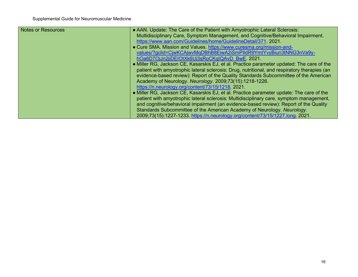| <b>Notes or Resources</b> | • AAN. Update: The Care of the Patient with Amyotrophic Lateral Sclerosis:                   |
|---------------------------|----------------------------------------------------------------------------------------------|
|                           | Multidisciplinary Care, Symptom Management, and Cognitive/Behavioral Impairment.             |
|                           | https://www.aan.com/Guidelines/home/GuidelineDetail/371. 2021.                               |
|                           | • Cure SMA. Mission and Values. https://www.curesma.org/mission-and-                         |
|                           | values/?gclid=CiwKCAiwvMgDBhB8EiwA2iSmPIldR9YmtYvyBiun3tNNG3nVa9y-                           |
|                           | hOa6D7OjJn2jiDEIOtXk6Uj3sRoCKgIQAvD BwE. 2021.                                               |
|                           | • Miller RG, Jackson CE, Kasarskis EJ, et al. Practice parameter updated: The care of the    |
|                           | patient with amyotrophic lateral sclerosis: Drug, nutritional, and respiratory therapies (an |
|                           | evidence-based review): Report of the Quality Standards Subcommittee of the American         |
|                           | Academy of Neurology. Neurology. 2009;73(15):1218-1226.                                      |
|                           | https://n.neurology.org/content/73/15/1218. 2021.                                            |
|                           | • Miller RG, Jackson CE, Kasarskis EJ, et al. Practice parameter update: The care of the     |
|                           | patient with amyotrophic lateral sclerosis: Multidisciplinary care, symptom management,      |
|                           | and cognitive/behavioral impairment (an evidence-based review): Report of the Quality        |
|                           | Standards Subcommittee of the American Academy of Neurology. Neurology.                      |
|                           | 2009;73(15):1227-1233. https://n.neurology.org/content/73/15/1227.long. 2021.                |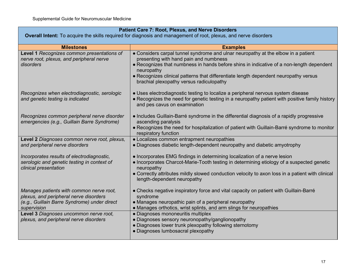| <b>Patient Care 7: Root, Plexus, and Nerve Disorders</b>                                                                                                                                                                              |                                                                                                                                                                                                                                                                                                                                                                                                                             |
|---------------------------------------------------------------------------------------------------------------------------------------------------------------------------------------------------------------------------------------|-----------------------------------------------------------------------------------------------------------------------------------------------------------------------------------------------------------------------------------------------------------------------------------------------------------------------------------------------------------------------------------------------------------------------------|
| Overall Intent: To acquire the skills required for diagnosis and management of root, plexus, and nerve disorders                                                                                                                      |                                                                                                                                                                                                                                                                                                                                                                                                                             |
| <b>Milestones</b>                                                                                                                                                                                                                     | <b>Examples</b>                                                                                                                                                                                                                                                                                                                                                                                                             |
| Level 1 Recognizes common presentations of<br>nerve root, plexus, and peripheral nerve<br>disorders                                                                                                                                   | • Considers carpal tunnel syndrome and ulnar neuropathy at the elbow in a patient<br>presenting with hand pain and numbness<br>• Recognizes that numbness in hands before shins in indicative of a non-length dependent<br>neuropathy<br>• Recognizes clinical patterns that differentiate length dependent neuropathy versus<br>brachial plexopathy versus radiculopathy                                                   |
| Recognizes when electrodiagnostic, serologic<br>and genetic testing is indicated                                                                                                                                                      | • Uses electrodiagnostic testing to localize a peripheral nervous system disease<br>• Recognizes the need for genetic testing in a neuropathy patient with positive family history<br>and pes cavus on examination                                                                                                                                                                                                          |
| Recognizes common peripheral nerve disorder<br>emergencies (e.g., Guillain Barre Syndrome)                                                                                                                                            | • Includes Guillain-Barré syndrome in the differential diagnosis of a rapidly progressive<br>ascending paralysis<br>• Recognizes the need for hospitalization of patient with Guillain-Barré syndrome to monitor<br>respiratory function                                                                                                                                                                                    |
| Level 2 Diagnoses common nerve root, plexus,                                                                                                                                                                                          | • Localizes common entrapment neuropathies                                                                                                                                                                                                                                                                                                                                                                                  |
| and peripheral nerve disorders                                                                                                                                                                                                        | • Diagnoses diabetic length-dependent neuropathy and diabetic amyotrophy                                                                                                                                                                                                                                                                                                                                                    |
| Incorporates results of electrodiagnostic,<br>serologic and genetic testing in context of<br>clinical presentation                                                                                                                    | • Incorporates EMG findings in determining localization of a nerve lesion<br>• Incorporates Charcot-Marie-Tooth testing in determining etiology of a suspected genetic<br>neuropathy<br>• Correctly attributes mildly slowed conduction velocity to axon loss in a patient with clinical<br>length-dependent neuropathy                                                                                                     |
| Manages patients with common nerve root,<br>plexus, and peripheral nerve disorders<br>(e.g., Guillain Barre Syndrome) under direct<br>supervision<br>Level 3 Diagnoses uncommon nerve root,<br>plexus, and peripheral nerve disorders | • Checks negative inspiratory force and vital capacity on patient with Guillain-Barré<br>syndrome<br>• Manages neuropathic pain of a peripheral neuropathy<br>• Manages orthotics, wrist splints, and arm slings for neuropathies<br>• Diagnoses mononeuritis multiplex<br>• Diagnoses sensory neuronopathy/ganglionopathy<br>• Diagnoses lower trunk plexopathy following sternotomy<br>• Diagnoses lumbosacral plexopathy |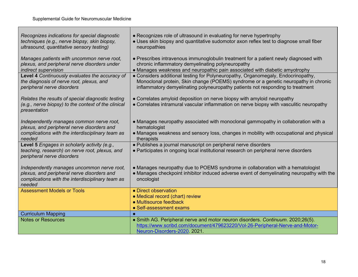Г

| Recognizes indications for special diagnostic<br>techniques (e.g., nerve biopsy, skin biopsy,<br>ultrasound, quantitative sensory testing)             | • Recognizes role of ultrasound in evaluating for nerve hypertrophy<br>• Uses skin biopsy and quantitative sudomotor axon reflex test to diagnose small fiber<br>neuropathies                                                                             |
|--------------------------------------------------------------------------------------------------------------------------------------------------------|-----------------------------------------------------------------------------------------------------------------------------------------------------------------------------------------------------------------------------------------------------------|
| Manages patients with uncommon nerve root,<br>plexus, and peripheral nerve disorders under<br>indirect supervision                                     | • Prescribes intravenous immunoglobulin treatment for a patient newly diagnosed with<br>chronic inflammatory demyelinating polyneuropathy<br>• Manages weakness and neuropathic pain associated with diabetic amyotrophy                                  |
| Level 4 Continuously evaluates the accuracy of<br>the diagnosis of nerve root, plexus, and<br>peripheral nerve disorders                               | • Considers additional testing for Polyneuropathy, Organomegaly, Endocrinopathy,<br>Monoclonal protein, Skin change (POEMS) syndrome or a genetic neuropathy in chronic<br>inflammatory demyelinating polyneuropathy patients not responding to treatment |
| Relates the results of special diagnostic testing<br>(e.g., nerve biopsy) to the context of the clinical<br>presentation                               | • Correlates amyloid deposition on nerve biopsy with amyloid neuropathy<br>• Correlates intramural vascular inflammation on nerve biopsy with vasculitic neuropathy                                                                                       |
| Independently manages common nerve root,<br>plexus, and peripheral nerve disorders and<br>complications with the interdisciplinary team as<br>needed   | • Manages neuropathy associated with monoclonal gammopathy in collaboration with a<br>hematologist<br>• Manages weakness and sensory loss, changes in mobility with occupational and physical<br>therapists                                               |
| Level 5 Engages in scholarly activity (e.g.,<br>teaching, research) on nerve root, plexus, and<br>peripheral nerve disorders                           | • Publishes a journal manuscript on peripheral nerve disorders<br>• Participates in ongoing local institutional research on peripheral nerve disorders                                                                                                    |
| Independently manages uncommon nerve root,<br>plexus, and peripheral nerve disorders and<br>complications with the interdisciplinary team as<br>needed | • Manages neuropathy due to POEMS syndrome in collaboration with a hematologist<br>• Manages checkpoint inhibitor induced adverse event of demyelinating neuropathy with the<br>oncologist                                                                |
| <b>Assessment Models or Tools</b>                                                                                                                      | • Direct observation<br>• Medical record (chart) review<br>• Multisource feedback<br>• Self-assessment exams                                                                                                                                              |
| <b>Curriculum Mapping</b>                                                                                                                              |                                                                                                                                                                                                                                                           |
| <b>Notes or Resources</b>                                                                                                                              | • Smith AG. Peripheral nerve and motor neuron disorders. Continuum. 2020;26(5).<br>https://www.scribd.com/document/479623220/Vol-26-Peripheral-Nerve-and-Motor-<br>Neuron-Disorders-2020 2021.                                                            |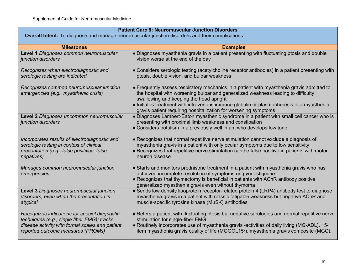| <b>Patient Care 8: Neuromuscular Junction Disorders</b><br><b>Overall Intent:</b> To diagnose and manage neuromuscular junction disorders and their complications                    |                                                                                                                                                                                                                                                                                                                                                                                          |
|--------------------------------------------------------------------------------------------------------------------------------------------------------------------------------------|------------------------------------------------------------------------------------------------------------------------------------------------------------------------------------------------------------------------------------------------------------------------------------------------------------------------------------------------------------------------------------------|
|                                                                                                                                                                                      |                                                                                                                                                                                                                                                                                                                                                                                          |
| <b>Milestones</b>                                                                                                                                                                    | <b>Examples</b>                                                                                                                                                                                                                                                                                                                                                                          |
| Level 1 Diagnoses common neuromuscular<br>junction disorders                                                                                                                         | . Diagnoses myasthenia gravis in a patient presenting with fluctuating ptosis and double<br>vision worse at the end of the day                                                                                                                                                                                                                                                           |
| Recognizes when electrodiagnostic and<br>serologic testing are indicated                                                                                                             | • Considers serologic testing (acetylcholine receptor antibodies) in a patient presenting with<br>ptosis, double vision, and bulbar weakness                                                                                                                                                                                                                                             |
| Recognizes common neuromuscular junction<br>emergencies (e.g., myasthenic crisis)                                                                                                    | • Frequently assess respiratory mechanics in a patient with myasthenia gravis admitted to<br>the hospital with worsening bulbar and generalized weakness leading to difficulty<br>swallowing and keeping the head upright<br>• Initiates treatment with intravenous immune globulin or plasmapheresis in a myasthenia<br>gravis patient requiring hospitalization for worsening symptoms |
| Level 2 Diagnoses uncommon neuromuscular<br>junction disorders                                                                                                                       | • Diagnoses Lambert-Eaton myasthenic syndrome in a patient with small cell cancer who is<br>presenting with proximal limb weakness and constipation<br>• Considers botulism in a previously well infant who develops low tone                                                                                                                                                            |
| Incorporates results of electrodiagnostic and<br>serologic testing in context of clinical<br>presentation (e.g., false positives, false<br>negatives)                                | • Recognizes that normal repetitive nerve stimulation cannot exclude a diagnosis of<br>myasthenia gravis in a patient with only ocular symptoms due to low sensitivity<br>• Recognizes that repetitive nerve stimulation can be false positive in patients with motor<br>neuron disease                                                                                                  |
| Manages common neuromuscular junction<br>emergencies                                                                                                                                 | • Starts and monitors prednisone treatment in a patient with myasthenia gravis who has<br>achieved incomplete resolution of symptoms on pyridostigmine<br>• Recognizes that thymectomy is beneficial in patients with AChR antibody positive<br>generalized myasthenia gravis even without thymoma                                                                                       |
| Level 3 Diagnoses neuromuscular junction<br>disorders, even when the presentation is<br>atypical                                                                                     | • Sends low density lipoprotein receptor-related protein 4 (LRP4) antibody test to diagnose<br>myasthenia gravis in a patient with classic fatigable weakness but negative AChR and<br>muscle-specific tyrosine kinase (MuSK) antibodies                                                                                                                                                 |
| Recognizes indications for special diagnostic<br>techniques (e.g., single fiber EMG); tracks<br>disease activity with formal scales and patient<br>reported outcome measures (PROMs) | • Refers a patient with fluctuating ptosis but negative serologies and normal repetitive nerve<br>stimulation for single-fiber EMG<br>. Routinely incorporates use of myasthenia gravis -activities of daily living (MG-ADL), 15-<br>item myasthenia gravis quality of life (MGQOL15r), myasthenia gravis composite (MGC),                                                               |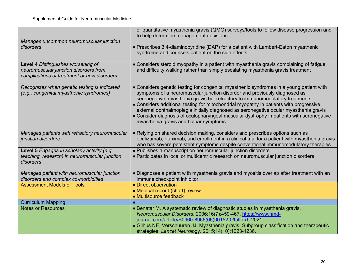| Manages uncommon neuromuscular junction<br>disorders                                                                       | or quantitative myasthenia gravis (QMG) surveys/tools to follow disease progression and<br>to help determine management decisions<br>• Prescribes 3,4-diaminopyridine (DAP) for a patient with Lambert-Eaton myasthenic<br>syndrome and counsels patient on the side effects                                                                                                                                                                                                                                                                                                 |
|----------------------------------------------------------------------------------------------------------------------------|------------------------------------------------------------------------------------------------------------------------------------------------------------------------------------------------------------------------------------------------------------------------------------------------------------------------------------------------------------------------------------------------------------------------------------------------------------------------------------------------------------------------------------------------------------------------------|
| Level 4 Distinguishes worsening of<br>neuromuscular junction disorders from<br>complications of treatment or new disorders | • Considers steroid myopathy in a patient with myasthenia gravis complaining of fatigue<br>and difficulty walking rather than simply escalating myasthenia gravis treatment                                                                                                                                                                                                                                                                                                                                                                                                  |
| Recognizes when genetic testing is indicated<br>(e.g., congenital myasthenic syndromes)                                    | • Considers genetic testing for congenital myasthenic syndromes in a young patient with<br>symptoms of a neuromuscular junction disorder and previously diagnosed as<br>seronegative myasthenia gravis but refractory to immunomodulatory treatments<br>• Considers additional testing for mitochondrial myopathy in patients with progressive<br>external ophthalmoplegia initially diagnosed as seronegative ocular myasthenia gravis<br>• Consider diagnosis of oculopharyngeal muscular dystrophy in patients with seronegative<br>myasthenia gravis and bulbar symptoms |
| Manages patients with refractory neuromuscular<br>junction disorders                                                       | • Relying on shared decision making, considers and prescribes options such as<br>eculizumab, rituximab, and enrollment in a clinical trial for a patient with myasthenia gravis<br>who has severe persistent symptoms despite conventional immunomodulatory therapies                                                                                                                                                                                                                                                                                                        |
| Level 5 Engages in scholarly activity (e.g.,<br>teaching, research) in neuromuscular junction<br>disorders                 | • Publishes a manuscript on neuromuscular junction disorders<br>• Participates in local or multicentric research on neuromuscular junction disorders                                                                                                                                                                                                                                                                                                                                                                                                                         |
| Manages patient with neuromuscular junction<br>disorders and complex co-morbidities                                        | • Diagnoses a patient with myasthenia gravis and myositis overlap after treatment with an<br>immune checkpoint inhibitor                                                                                                                                                                                                                                                                                                                                                                                                                                                     |
| <b>Assessment Models or Tools</b>                                                                                          | • Direct observation<br>• Medical record (chart) review<br>• Multisource feedback                                                                                                                                                                                                                                                                                                                                                                                                                                                                                            |
| <b>Curriculum Mapping</b>                                                                                                  |                                                                                                                                                                                                                                                                                                                                                                                                                                                                                                                                                                              |
| <b>Notes or Resources</b>                                                                                                  | • Benatar M. A systematic review of diagnostic studies in myasthenia gravis.<br>Neuromuscular Disorders. 2006;16(7):459-467 https://www.nmd-<br>journal.com/article/S0960-8966(06)00152-0/fulltext. 2021.<br>• Gilhus NE, Verschuuren JJ. Myasthenia gravis: Subgroup classification and therapeutic<br>strategies. Lancet Neurology. 2015;14(10):1023-1236.                                                                                                                                                                                                                 |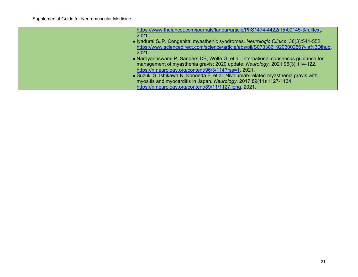| https://www.thelancet.com/journals/laneur/article/PIIS1474-4422(15)00145-3/fulltext. |
|--------------------------------------------------------------------------------------|
| 2021.                                                                                |
| • Iyadurai SJP. Congenital myasthenic syndromes. Neurologic Clinics. 38(3):541-552.  |
| https://www.sciencedirect.com/science/article/abs/pii/S0733861920300256?via%3Dihub.  |
| 2021.                                                                                |
| • Narayanaswami P, Sanders DB, Wolfe G, et al. International consensus guidance for  |
| management of myasthenia gravis: 2020 update. Neurology. 2021;96(3):114-122.         |
| https://n.neurology.org/content/96/3/114?rss=1.2021.                                 |
| • Suzuki S, Ishikawa N, Konoeda F, et al. Nivolumab-related myasthenia gravis with   |
| myositis and myocarditis in Japan. Neurology. 2017;89(11):1127-1134.                 |
| https://n.neurology.org/content/89/11/1127.long 2021.                                |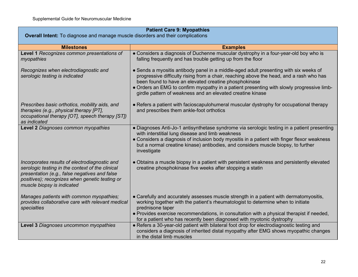| <b>Patient Care 9: Myopathies</b>                                                                                                                                                                                                  |                                                                                                                                                                                                                                                                                                                                                                                                      |
|------------------------------------------------------------------------------------------------------------------------------------------------------------------------------------------------------------------------------------|------------------------------------------------------------------------------------------------------------------------------------------------------------------------------------------------------------------------------------------------------------------------------------------------------------------------------------------------------------------------------------------------------|
| <b>Overall Intent:</b> To diagnose and manage muscle disorders and their complications                                                                                                                                             |                                                                                                                                                                                                                                                                                                                                                                                                      |
| <b>Milestones</b>                                                                                                                                                                                                                  | <b>Examples</b>                                                                                                                                                                                                                                                                                                                                                                                      |
| Level 1 Recognizes common presentations of<br>myopathies                                                                                                                                                                           | • Considers a diagnosis of Duchenne muscular dystrophy in a four-year-old boy who is<br>falling frequently and has trouble getting up from the floor                                                                                                                                                                                                                                                 |
| Recognizes when electrodiagnostic and<br>serologic testing is indicated                                                                                                                                                            | • Sends a myositis antibody panel in a middle-aged adult presenting with six weeks of<br>progressive difficulty rising from a chair, reaching above the head, and a rash who has<br>been found to have an elevated creatine phosphokinase<br>• Orders an EMG to confirm myopathy in a patient presenting with slowly progressive limb-<br>girdle pattern of weakness and an elevated creatine kinase |
| Prescribes basic orthotics, mobility aids, and<br>therapies (e.g., physical therapy [PT],<br>occupational therapy [OT], speech therapy [ST])<br>as indicated                                                                       | • Refers a patient with facioscapulohumeral muscular dystrophy for occupational therapy<br>and prescribes them ankle-foot orthotics                                                                                                                                                                                                                                                                  |
| Level 2 Diagnoses common myopathies                                                                                                                                                                                                | • Diagnoses Anti-Jo-1 antisynthetase syndrome via serologic testing in a patient presenting<br>with interstitial lung disease and limb weakness<br>• Considers a diagnosis of inclusion body myositis in a patient with finger flexor weakness<br>but a normal creatine kinase) antibodies, and considers muscle biopsy, to further<br>investigate                                                   |
| Incorporates results of electrodiagnostic and<br>serologic testing in the context of the clinical<br>presentation (e.g., false negatives and false<br>positives); recognizes when genetic testing or<br>muscle biopsy is indicated | • Obtains a muscle biopsy in a patient with persistent weakness and persistently elevated<br>creatine phosphokinase five weeks after stopping a statin                                                                                                                                                                                                                                               |
| Manages patients with common myopathies;<br>provides collaborative care with relevant medical<br>specialties                                                                                                                       | • Carefully and accurately assesses muscle strength in a patient with dermatomyositis,<br>working together with the patient's rheumatologist to determine when to initiate<br>prednisone taper                                                                                                                                                                                                       |
|                                                                                                                                                                                                                                    | • Provides exercise recommendations, in consultation with a physical therapist if needed,<br>for a patient who has recently been diagnosed with myotonic dystrophy                                                                                                                                                                                                                                   |
| Level 3 Diagnoses uncommon myopathies                                                                                                                                                                                              | • Refers a 30-year-old patient with bilateral foot drop for electrodiagnostic testing and<br>considers a diagnosis of inherited distal myopathy after EMG shows myopathic changes<br>in the distal limb muscles                                                                                                                                                                                      |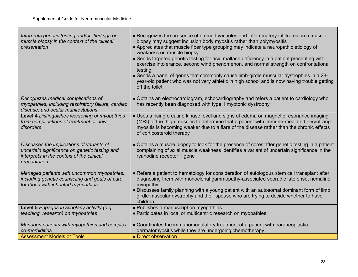| Interprets genetic testing and/or findings on<br>muscle biopsy in the context of the clinical<br>presentation                                           | • Recognizes the presence of rimmed vacuoles and inflammatory infiltrates on a muscle<br>biopsy may suggest inclusion body myositis rather than polymyositis<br>• Appreciates that muscle fiber type grouping may indicate a neuropathic etiology of<br>weakness on muscle biopsy<br>• Sends targeted genetic testing for acid maltase deficiency in a patient presenting with<br>exercise intolerance, second wind phenomenon, and normal strength on confrontational<br>testing<br>• Sends a panel of genes that commonly cause limb-girdle muscular dystrophies in a 28-<br>year-old patient who was not very athletic in high school and is now having trouble getting<br>off the toilet |
|---------------------------------------------------------------------------------------------------------------------------------------------------------|----------------------------------------------------------------------------------------------------------------------------------------------------------------------------------------------------------------------------------------------------------------------------------------------------------------------------------------------------------------------------------------------------------------------------------------------------------------------------------------------------------------------------------------------------------------------------------------------------------------------------------------------------------------------------------------------|
| Recognizes medical complications of<br>myopathies, including respiratory failure, cardiac<br>disease, and ocular manifestations                         | • Obtains an electrocardiogram, echocardiography and refers a patient to cardiology who<br>has recently been diagnosed with type 1 myotonic dystrophy                                                                                                                                                                                                                                                                                                                                                                                                                                                                                                                                        |
| Level 4 Distinguishes worsening of myopathies<br>from complications of treatment or new<br>disorders                                                    | • Uses a rising creatine kinase level and signs of edema on magnetic resonance imaging<br>(MRI) of the thigh muscles to determine that a patient with immune-mediated necrotizing<br>myositis is becoming weaker due to a flare of the disease rather than the chronic effects<br>of corticosteroid therapy                                                                                                                                                                                                                                                                                                                                                                                  |
| Discusses the implications of variants of<br>uncertain significance on genetic testing and<br>interprets in the context of the clinical<br>presentation | • Obtains a muscle biopsy to look for the presence of cores after genetic testing in a patient<br>complaining of axial muscle weakness identifies a variant of uncertain significance in the<br>ryanodine receptor 1 gene                                                                                                                                                                                                                                                                                                                                                                                                                                                                    |
| Manages patients with uncommon myopathies,<br>including genetic counseling and goals of care<br>for those with inherited myopathies                     | • Refers a patient to hematology for consideration of autologous stem cell transplant after<br>diagnosing them with monoclonal gammopathy-associated sporadic late onset nemaline<br>myopathy<br>• Discusses family planning with a young patient with an autosomal dominant form of limb<br>girdle muscular dystrophy and their spouse who are trying to decide whether to have<br>children                                                                                                                                                                                                                                                                                                 |
| Level 5 Engages in scholarly activity (e.g.,                                                                                                            | • Publishes a manuscript on myopathies                                                                                                                                                                                                                                                                                                                                                                                                                                                                                                                                                                                                                                                       |
| teaching, research) on myopathies                                                                                                                       | • Participates in local or multicentric research on myopathies                                                                                                                                                                                                                                                                                                                                                                                                                                                                                                                                                                                                                               |
| Manages patients with myopathies and complex                                                                                                            | • Coordinates the immunomodulatory treatment of a patient with paraneoplastic                                                                                                                                                                                                                                                                                                                                                                                                                                                                                                                                                                                                                |
| co-morbidities                                                                                                                                          | dermatomyositis while they are undergoing chemotherapy                                                                                                                                                                                                                                                                                                                                                                                                                                                                                                                                                                                                                                       |
| <b>Assessment Models or Tools</b>                                                                                                                       | • Direct observation                                                                                                                                                                                                                                                                                                                                                                                                                                                                                                                                                                                                                                                                         |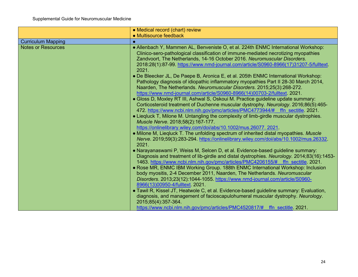|                           | • Medical record (chart) review                                                                                                                                                                                                                                                                                                                                                                                                                                                                                                                                                                                                                                                                                                                                                                                                                                                                                                                                                                                                                                                                                                                                                                                                                                                                                                                                                                                                                                                                                                                                                                                                                                                                                                                                                                                                                                                                                                                                                                                                                                                                               |
|---------------------------|---------------------------------------------------------------------------------------------------------------------------------------------------------------------------------------------------------------------------------------------------------------------------------------------------------------------------------------------------------------------------------------------------------------------------------------------------------------------------------------------------------------------------------------------------------------------------------------------------------------------------------------------------------------------------------------------------------------------------------------------------------------------------------------------------------------------------------------------------------------------------------------------------------------------------------------------------------------------------------------------------------------------------------------------------------------------------------------------------------------------------------------------------------------------------------------------------------------------------------------------------------------------------------------------------------------------------------------------------------------------------------------------------------------------------------------------------------------------------------------------------------------------------------------------------------------------------------------------------------------------------------------------------------------------------------------------------------------------------------------------------------------------------------------------------------------------------------------------------------------------------------------------------------------------------------------------------------------------------------------------------------------------------------------------------------------------------------------------------------------|
|                           | • Multisource feedback                                                                                                                                                                                                                                                                                                                                                                                                                                                                                                                                                                                                                                                                                                                                                                                                                                                                                                                                                                                                                                                                                                                                                                                                                                                                                                                                                                                                                                                                                                                                                                                                                                                                                                                                                                                                                                                                                                                                                                                                                                                                                        |
| <b>Curriculum Mapping</b> |                                                                                                                                                                                                                                                                                                                                                                                                                                                                                                                                                                                                                                                                                                                                                                                                                                                                                                                                                                                                                                                                                                                                                                                                                                                                                                                                                                                                                                                                                                                                                                                                                                                                                                                                                                                                                                                                                                                                                                                                                                                                                                               |
| <b>Notes or Resources</b> | • Allenbach Y, Mammen AL, Benveniste O, et al. 224th ENMC International Workshop:<br>Clinico-sero-pathological classification of immune-mediated necrotizing myopathies<br>Zandvoort, The Netherlands, 14-16 October 2016. Neuromuscular Disorders.<br>2018:28(1):87-99. https://www.nmd-journal.com/article/S0960-8966(17)31207-5/fulltext.<br>2021.<br>• De Bleecker JL, De Paepe B, Aronica E, et al. 205th ENMC International Workshop:<br>Pathology diagnosis of idiopathic inflammatory myopathies Part II 28-30 March 2014,<br>Naarden, The Netherlands. Neuromuscular Disorders. 2015;25(3):268-272.<br>https://www.nmd-journal.com/article/S0960-8966(14)00703-2/fulltext. 2021.<br>• Gloss D, Moxley RT III, Ashwal S, Oskoui M. Practice guideline update summary:<br>Corticosteroid treatment of Duchenne muscular dystrophy. Neurology. 2016;86(5):465-<br>472. https://www.ncbi.nlm.nih.gov/pmc/articles/PMC4773944/# ffn sectitle 2021.<br>• Liegluck T, Milone M. Untangling the complexity of limb-girdle muscular dystrophies.<br>Muscle Nerve. 2018;58(2):167-177.<br>https://onlinelibrary.wiley.com/doi/abs/10.1002/mus.26077.2021<br>• Milone M, Liegluck T. The unfolding spectrum of inherited distal myopathies. Muscle<br>Nerve. 2019;59(3):283-294. https://onlinelibrary.wiley.com/doi/abs/10.1002/mus.26332.<br>2021.<br>• Narayanaswami P, Weiss M, Selcen D, et al. Evidence-based guideline summary:<br>Diagnosis and treatment of lib-girdle and distal dystrophies. Neurology. 2014;83(16):1453-<br>1463. https://www.ncbi.nlm.nih.gov/pmc/articles/PMC4206155/# ffn sectitle. 2021.<br>• Rose MR, ENMC IBM Working Group. 188th ENMC International Workshop: Inclusion<br>body myositis, 2-4 December 2011, Naarden, The Netherlands. Neuromuscular<br>Disorders. 2013;23(12):1044-1055. https://www.nmd-journal.com/article/S0960-<br>8966(13)00950-4/fulltext. 2021.<br>• Tawil R, Kissel JT, Heatwole C, et al. Evidence-based guideline summary: Evaluation,<br>diagnosis, and management of facioscapulohumeral muscular dystrophy. Neurology.<br>2015;85(4):357-364. |
|                           | https://www.ncbi.nlm.nih.gov/pmc/articles/PMC4520817/# ffn sectitle. 2021.                                                                                                                                                                                                                                                                                                                                                                                                                                                                                                                                                                                                                                                                                                                                                                                                                                                                                                                                                                                                                                                                                                                                                                                                                                                                                                                                                                                                                                                                                                                                                                                                                                                                                                                                                                                                                                                                                                                                                                                                                                    |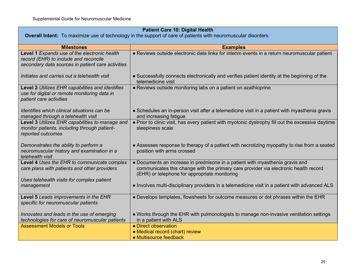| <b>Patient Care 10: Digital Health</b>                                                                                                     |                                                                                                                                                                                                                        |
|--------------------------------------------------------------------------------------------------------------------------------------------|------------------------------------------------------------------------------------------------------------------------------------------------------------------------------------------------------------------------|
|                                                                                                                                            | <b>Overall Intent:</b> To maximize use of technology in the support of care of patients with neuromuscular disorders                                                                                                   |
| <b>Milestones</b>                                                                                                                          | <b>Examples</b>                                                                                                                                                                                                        |
| Level 1 Expands use of the electronic health<br>record (EHR) to include and reconcile<br>secondary data sources in patient care activities | • Reviews outside electronic data links for interim events in a return neuromuscular patient                                                                                                                           |
| Initiates and carries out a telehealth visit                                                                                               | • Successfully connects electronically and verifies patient identity at the beginning of the<br>telemedicine visit                                                                                                     |
| Level 2 Utilizes EHR capabilities and identifies<br>use for digital or remote monitoring data in<br>patient care activities                | • Reviews outside monitoring labs on a patient on azathioprine                                                                                                                                                         |
| Identifies which clinical situations can be<br>managed through a telehealth visit                                                          | • Schedules an in-person visit after a telemedicine visit in a patient with myasthenia gravis<br>and increasing fatigue                                                                                                |
| Level 3 Utilizes EHR capabilities to manage and<br>monitor patients, including through patient-<br>reported outcomes                       | • Prior to clinic visit, has every patient with myotonic dystrophy fill out the excessive daytime<br>sleepiness scale                                                                                                  |
| Demonstrates the ability to perform a<br>neuromuscular history and examination in a<br>telehealth visit                                    | • Assesses response to therapy of a patient with necrotizing myopathy to rise from a seated<br>position with arms crossed                                                                                              |
| Level 4 Uses the EHR to communicate complex<br>care plans with patients and other providers                                                | • Documents an increase in prednisone in a patient with myasthenia gravis and<br>communicates this change with the primary care provider via electronic health record<br>(EHR) or telephone for appropriate monitoring |
| Uses telehealth visits for complex patient<br>management                                                                                   | • Involves multi-disciplinary providers in a telemedicine visit in a patient with advanced ALS                                                                                                                         |
| Level 5 Leads improvements in the EHR<br>specific for neuromuscular patients                                                               | . Develops templates, flowsheets for outcome measures or dot phrases within the EHR                                                                                                                                    |
| Innovates and leads in the use of emerging<br>technologies for care of neuromuscular patients                                              | • Works through the EHR with pulmonologists to manage non-invasive ventilation settings<br>in a patient with ALS                                                                                                       |
| <b>Assessment Models or Tools</b>                                                                                                          | • Direct observation                                                                                                                                                                                                   |
|                                                                                                                                            | • Medical record (chart) review<br>• Multisource feedback                                                                                                                                                              |
|                                                                                                                                            |                                                                                                                                                                                                                        |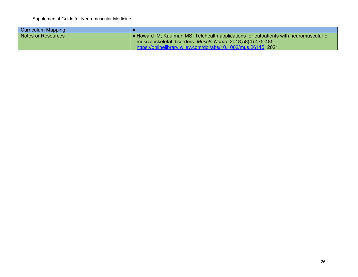| <b>Curriculum Mapping</b> |                                                                                        |
|---------------------------|----------------------------------------------------------------------------------------|
| Notes or Resources        | . Howard IM, Kaufman MS. Telehealth applications for outpatients with neuromuscular or |
|                           | musculoskeletal disorders. Muscle Nerve. 2018;58(4):475-485.                           |
|                           | https://onlinelibrary.wiley.com/doi/abs/10.1002/mus.26115.2021.                        |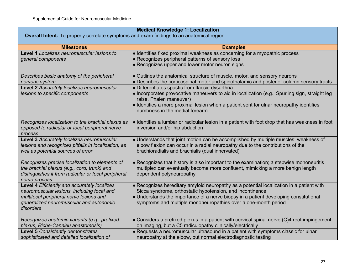| <b>Medical Knowledge 1: Localization</b>                                                 |                                                                                                                                                    |
|------------------------------------------------------------------------------------------|----------------------------------------------------------------------------------------------------------------------------------------------------|
| Overall Intent: To properly correlate symptoms and exam findings to an anatomical region |                                                                                                                                                    |
| <b>Milestones</b>                                                                        | <b>Examples</b>                                                                                                                                    |
| Level 1 Localizes neuromuscular lesions to                                               | · Identifies fixed proximal weakness as concerning for a myopathic process                                                                         |
| general components                                                                       | • Recognizes peripheral patterns of sensory loss                                                                                                   |
|                                                                                          | • Recognizes upper and lower motor neuron signs                                                                                                    |
| Describes basic anatomy of the peripheral                                                | • Outlines the anatomical structure of muscle, motor, and sensory neurons                                                                          |
| nervous system                                                                           | • Describes the corticospinal motor and spinothalamic and posterior column sensory tracts                                                          |
| Level 2 Accurately localizes neuromuscular                                               | • Differentiates spastic from flaccid dysarthria                                                                                                   |
| lesions to specific components                                                           | • Incorporates provocative maneuvers to aid in localization (e.g., Spurling sign, straight leg<br>raise, Phalen maneuver)                          |
|                                                                                          | · Identifies a more proximal lesion when a patient sent for ulnar neuropathy identifies                                                            |
|                                                                                          | numbness in the medial forearm                                                                                                                     |
|                                                                                          |                                                                                                                                                    |
| Recognizes localization to the brachial plexus as                                        | • Identifies a lumbar or radicular lesion in a patient with foot drop that has weakness in foot                                                    |
| opposed to radicular or focal peripheral nerve<br>process                                | inversion and/or hip abduction                                                                                                                     |
| Level 3 Accurately localizes neuromuscular                                               | • Understands that joint motion can be accomplished by multiple muscles; weakness of                                                               |
| lesions and recognizes pitfalls in localization, as                                      | elbow flexion can occur in a radial neuropathy due to the contributions of the                                                                     |
| well as potential sources of error                                                       | brachioradialis and brachialis (dual innervated)                                                                                                   |
| Recognizes precise localization to elements of                                           | • Recognizes that history is also important to the examination; a stepwise mononeuritis                                                            |
| the brachial plexus (e.g., cord, trunk) and                                              | multiplex can eventually become more confluent, mimicking a more benign length                                                                     |
| distinguishes it from radicular or focal peripheral                                      | dependent polyneuropathy                                                                                                                           |
| nerve process                                                                            |                                                                                                                                                    |
| Level 4 Efficiently and accurately localizes                                             | • Recognizes hereditary amyloid neuropathy as a potential localization in a patient with                                                           |
| neuromuscular lesions, including focal and<br>multifocal peripheral nerve lesions and    | Sicca syndrome, orthostatic hypotension, and incontinence<br>• Understands the importance of a nerve biopsy in a patient developing constitutional |
| generalized neuromuscular and autonomic                                                  | symptoms and multiple mononeuropathies over a one-month period                                                                                     |
| disorders                                                                                |                                                                                                                                                    |
|                                                                                          |                                                                                                                                                    |
| Recognizes anatomic variants (e.g., prefixed                                             | • Considers a prefixed plexus in a patient with cervical spinal nerve (C)4 root impingement                                                        |
| plexus, Riche-Cannieu anastomosis)<br><b>Level 5 Consistently demonstrates</b>           | on imaging, but a C5 radiculopathy clinically/electrically<br>• Requests a neuromuscular ultrasound in a patient with symptoms classic for ulnar   |
| sophisticated and detailed localization of                                               | neuropathy at the elbow, but normal electrodiagnostic testing                                                                                      |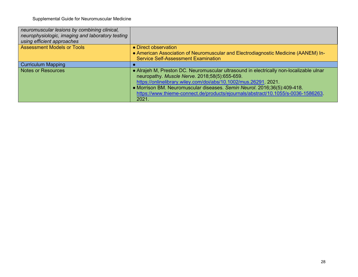| • Direct observation                                                                                                                                                                                                                                                                                                                                                         |
|------------------------------------------------------------------------------------------------------------------------------------------------------------------------------------------------------------------------------------------------------------------------------------------------------------------------------------------------------------------------------|
| • American Association of Neuromuscular and Electrodiagnostic Medicine (AANEM) In-<br><b>Service Self-Assessment Examination</b>                                                                                                                                                                                                                                             |
|                                                                                                                                                                                                                                                                                                                                                                              |
| • Alrajeh M, Preston DC. Neuromuscular ultrasound in electrically non-localizable ulnar<br>neuropathy. Muscle Nerve. 2018;58(5):655-659.<br>https://onlinelibrary.wiley.com/doi/abs/10.1002/mus.26291.2021.<br>• Morrison BM. Neuromuscular diseases. Semin Neurol. 2016;36(5):409-418.<br>https://www.thieme-connect.de/products/ejournals/abstract/10.1055/s-0036-1586263. |
| 2021.                                                                                                                                                                                                                                                                                                                                                                        |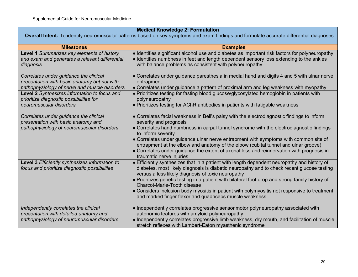## **Medical Knowledge 2: Formulation**

**Overall Intent:** To identify neuromuscular patterns based on key symptoms and exam findings and formulate accurate differential diagnoses

| <b>Milestones</b>                                                                                                                       | <b>Examples</b>                                                                                                                                                                                                                                      |
|-----------------------------------------------------------------------------------------------------------------------------------------|------------------------------------------------------------------------------------------------------------------------------------------------------------------------------------------------------------------------------------------------------|
| Level 1 Summarizes key elements of history<br>and exam and generates a relevant differential<br>diagnosis                               | • Identifies significant alcohol use and diabetes as important risk factors for polyneuropathy<br>• Identifies numbness in feet and length dependent sensory loss extending to the ankles<br>with balance problems as consistent with polyneuropathy |
| Correlates under guidance the clinical<br>presentation with basic anatomy but not with<br>pathophysiology of nerve and muscle disorders | • Correlates under guidance paresthesia in medial hand and digits 4 and 5 with ulnar nerve<br>entrapment<br>• Correlates under guidance a pattern of proximal arm and leg weakness with myopathy                                                     |
| Level 2 Synthesizes information to focus and<br>prioritize diagnostic possibilities for                                                 | . Prioritizes testing for fasting blood glucose/glycosylated hemoglobin in patients with<br>polyneuropathy                                                                                                                                           |
| neuromuscular disorders                                                                                                                 | • Prioritizes testing for AChR antibodies in patients with fatigable weakness                                                                                                                                                                        |
| Correlates under guidance the clinical<br>presentation with basic anatomy and                                                           | • Correlates facial weakness in Bell's palsy with the electrodiagnostic findings to inform<br>severity and prognosis                                                                                                                                 |
| pathophysiology of neuromuscular disorders                                                                                              | • Correlates hand numbness in carpal tunnel syndrome with the electrodiagnostic findings<br>to inform severity                                                                                                                                       |
|                                                                                                                                         | • Correlates under guidance ulnar nerve entrapment with symptoms with common site of<br>entrapment at the elbow and anatomy of the elbow (cubital tunnel and ulnar groove)                                                                           |
|                                                                                                                                         | • Correlates under guidance the extent of axonal loss and reinnervation with prognosis in<br>traumatic nerve injuries                                                                                                                                |
| Level 3 Efficiently synthesizes information to<br>focus and prioritize diagnostic possibilities                                         | • Efficiently synthesizes that in a patient with length dependent neuropathy and history of<br>diabetes, most likely diagnosis is diabetic neuropathy and to check recent glucose testing<br>versus a less likely diagnosis of toxic neuropathy      |
|                                                                                                                                         | • Prioritizes genetic testing in a patient with bilateral foot drop and strong family history of<br>Charcot-Marie-Tooth disease                                                                                                                      |
|                                                                                                                                         | • Considers inclusion body myositis in patient with polymyositis not responsive to treatment<br>and marked finger flexor and quadriceps muscle weakness                                                                                              |
| Independently correlates the clinical                                                                                                   | • Independently correlates progressive sensorimotor polyneuropathy associated with                                                                                                                                                                   |
| presentation with detailed anatomy and                                                                                                  | autonomic features with amyloid polyneuropathy                                                                                                                                                                                                       |
| pathophysiology of neuromuscular disorders                                                                                              | • Independently correlates progressive limb weakness, dry mouth, and facilitation of muscle<br>stretch reflexes with Lambert-Eaton myasthenic syndrome                                                                                               |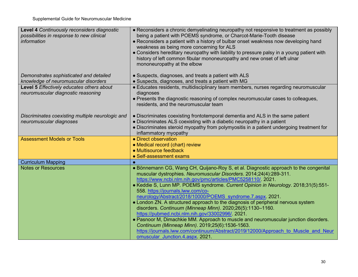| Level 4 Continuously reconsiders diagnostic<br>possibilities in response to new clinical | • Reconsiders a chronic demyelinating neuropathy not responsive to treatment as possibly<br>being a patient with POEMS syndrome, or Charcot-Marie-Tooth disease                                        |
|------------------------------------------------------------------------------------------|--------------------------------------------------------------------------------------------------------------------------------------------------------------------------------------------------------|
| <i>information</i>                                                                       | • Reconsiders a patient with a history of bulbar onset weakness now developing hand                                                                                                                    |
|                                                                                          | weakness as being more concerning for ALS                                                                                                                                                              |
|                                                                                          | • Considers hereditary neuropathy with liability to pressure palsy in a young patient with<br>history of left common fibular mononeuropathy and new onset of left ulnar<br>mononeuropathy at the elbow |
|                                                                                          |                                                                                                                                                                                                        |
| Demonstrates sophisticated and detailed                                                  | • Suspects, diagnoses, and treats a patient with ALS                                                                                                                                                   |
| knowledge of neuromuscular disorders                                                     | · Suspects, diagnoses, and treats a patient with MG                                                                                                                                                    |
| Level 5 Effectively educates others about                                                | • Educates residents, multidisciplinary team members, nurses regarding neuromuscular                                                                                                                   |
| neuromuscular diagnostic reasoning                                                       | diagnoses                                                                                                                                                                                              |
|                                                                                          | • Presents the diagnostic reasoning of complex neuromuscular cases to colleagues,                                                                                                                      |
|                                                                                          | residents, and the neuromuscular team                                                                                                                                                                  |
|                                                                                          |                                                                                                                                                                                                        |
| Discriminates coexisting multiple neurologic and                                         | • Discriminates coexisting frontotemporal dementia and ALS in the same patient                                                                                                                         |
| neuromuscular diagnoses                                                                  | • Discriminates ALS coexisting with a diabetic neuropathy in a patient                                                                                                                                 |
|                                                                                          | • Discriminates steroid myopathy from polymyositis in a patient undergoing treatment for<br>inflammatory myopathy                                                                                      |
| <b>Assessment Models or Tools</b>                                                        | • Direct observation                                                                                                                                                                                   |
|                                                                                          | • Medical record (chart) review                                                                                                                                                                        |
|                                                                                          | • Multisource feedback                                                                                                                                                                                 |
|                                                                                          | • Self-assessment exams                                                                                                                                                                                |
| <b>Curriculum Mapping</b>                                                                |                                                                                                                                                                                                        |
| <b>Notes or Resources</b>                                                                | • Bönnemann CG, Wang CH, Quijano-Roy S, et al. Diagnostic approach to the congenital                                                                                                                   |
|                                                                                          | muscular dystrophies. Neuromuscular Disorders. 2014;24(4):289-311.                                                                                                                                     |
|                                                                                          | https://www.ncbi.nlm.nih.gov/pmc/articles/PMC5258110/. 2021.                                                                                                                                           |
|                                                                                          | • Keddie S, Lunn MP. POEMS syndrome. Current Opinion in Neurology. 2018;31(5):551-                                                                                                                     |
|                                                                                          | 558. https://journals.lww.com/co-                                                                                                                                                                      |
|                                                                                          | neurology/Abstract/2018/10000/POEMS syndrome.7.aspx. 2021.                                                                                                                                             |
|                                                                                          | • London ZN. A structured approach to the diagnosis of peripheral nervous system                                                                                                                       |
|                                                                                          | disorders. Continuum (Minneap Minn). 2020;26(5):1130-1160.                                                                                                                                             |
|                                                                                          | https://pubmed.ncbi.nlm.nih.gov/33002996/. 2021.                                                                                                                                                       |
|                                                                                          | • Pasnoor M, Dimachkie MM. Approach to muscle and neuromuscular junction disorders.                                                                                                                    |
|                                                                                          | Continuum (Minneap Minn). 2019;25(6):1536-1563.                                                                                                                                                        |
|                                                                                          | https://journals.lww.com/continuum/Abstract/2019/12000/Approach to Muscle and Neur<br>omuscular Junction.4.aspx 2021.                                                                                  |
|                                                                                          |                                                                                                                                                                                                        |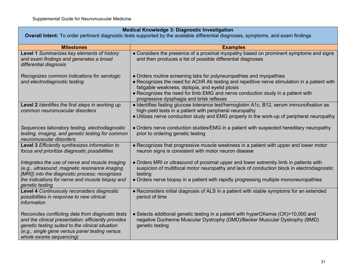| <b>Medical Knowledge 3: Diagnostic Investigation</b>                                                                                                                                                                                      |                                                                                                                                                                                                                                                                                                                                                       |
|-------------------------------------------------------------------------------------------------------------------------------------------------------------------------------------------------------------------------------------------|-------------------------------------------------------------------------------------------------------------------------------------------------------------------------------------------------------------------------------------------------------------------------------------------------------------------------------------------------------|
| Overall Intent: To order pertinent diagnostic tests supported by the available differential diagnoses, symptoms, and exam findings                                                                                                        |                                                                                                                                                                                                                                                                                                                                                       |
| <b>Milestones</b>                                                                                                                                                                                                                         | <b>Examples</b>                                                                                                                                                                                                                                                                                                                                       |
| Level 1 Summarizes key elements of history<br>and exam findings and generates a broad<br>differential diagnosis                                                                                                                           | • Considers the presence of a proximal myopathy based on prominent symptoms and signs<br>and then produces a list of possible differential diagnoses                                                                                                                                                                                                  |
| Recognizes common indications for serologic<br>and electrodiagnostic testing                                                                                                                                                              | • Orders routine screening labs for polyneuropathies and myopathies<br>• Recognizes the need for AChR Ab testing and repetitive nerve stimulation in a patient with<br>fatigable weakness, diplopia, and eyelid ptosis<br>• Recognizes the need for limb EMG and nerve conduction study in a patient with<br>progressive dysphagia and brisk reflexes |
| Level 2 Identifies the first steps in working up<br>common neuromuscular disorders                                                                                                                                                        | · Identifies fasting glucose tolerance test/hemoglobin A1c, B12, serum immunofixation as<br>high-yield tests in a patient with peripheral neuropathy<br>• Utilizes nerve conduction study and EMG properly in the work-up of peripheral neuropathy                                                                                                    |
| Sequences laboratory testing, electrodiagnostic<br>testing, imaging, and genetic testing for common<br>neuromuscular disorders                                                                                                            | • Orders nerve conduction studies/EMG in a patient with suspected hereditary neuropathy<br>prior to ordering genetic testing                                                                                                                                                                                                                          |
| Level 3 Efficiently synthesizes information to<br>focus and prioritize diagnostic possibilities                                                                                                                                           | • Recognizes that progressive muscle weakness in a patient with upper and lower motor<br>neuron signs is consistent with motor neuron disease                                                                                                                                                                                                         |
| Integrates the use of nerve and muscle imaging<br>(e.g., ultrasound, magnetic resonance imaging<br>[MRI]) into the diagnostic process; recognizes<br>the indications for nerve and muscle biopsy and<br>genetic testing                   | • Orders MRI or ultrasound of proximal upper and lower extremity limb in patients with<br>suspicion of multifocal motor neuropathy and lack of conduction block in electrodiagnostic<br>testing<br>• Orders nerve biopsy in a patient with rapidly progressing multiple mononeuropathies                                                              |
| Level 4 Continuously reconsiders diagnostic<br>possibilities in response to new clinical<br>information                                                                                                                                   | • Reconsiders initial diagnosis of ALS in a patient with stable symptoms for an extended<br>period of time                                                                                                                                                                                                                                            |
| Reconciles conflicting data from diagnostic tests<br>and the clinical presentation; efficiently provides<br>genetic testing suited to the clinical situation<br>(e.g., single gene versus panel testing versus<br>whole exome sequencing) | • Selects additional genetic testing in a patient with hyperCKemia (CK)>10,000 and<br>negative Duchenne Muscular Dystrophy (DMD)/Becker Muscular Dystrophy (BMD)<br>genetic testing                                                                                                                                                                   |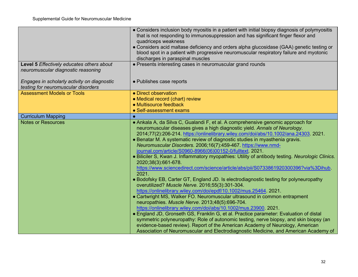| • Considers inclusion body myositis in a patient with initial biopsy diagnosis of polymyositis<br>that is not responding to immunosuppression and has significant finger flexor and                                                                                                                                                                                                                                                                                                                                                                                                                                                                                                                                                                                                                                                                                                                                                                                                                                                                                                                                                                                                                                        |
|----------------------------------------------------------------------------------------------------------------------------------------------------------------------------------------------------------------------------------------------------------------------------------------------------------------------------------------------------------------------------------------------------------------------------------------------------------------------------------------------------------------------------------------------------------------------------------------------------------------------------------------------------------------------------------------------------------------------------------------------------------------------------------------------------------------------------------------------------------------------------------------------------------------------------------------------------------------------------------------------------------------------------------------------------------------------------------------------------------------------------------------------------------------------------------------------------------------------------|
| quadriceps weakness                                                                                                                                                                                                                                                                                                                                                                                                                                                                                                                                                                                                                                                                                                                                                                                                                                                                                                                                                                                                                                                                                                                                                                                                        |
| • Considers acid maltase deficiency and orders alpha glucosidase (GAA) genetic testing or                                                                                                                                                                                                                                                                                                                                                                                                                                                                                                                                                                                                                                                                                                                                                                                                                                                                                                                                                                                                                                                                                                                                  |
| blood spot in a patient with progressive neuromuscular respiratory failure and myotonic                                                                                                                                                                                                                                                                                                                                                                                                                                                                                                                                                                                                                                                                                                                                                                                                                                                                                                                                                                                                                                                                                                                                    |
| discharges in paraspinal muscles                                                                                                                                                                                                                                                                                                                                                                                                                                                                                                                                                                                                                                                                                                                                                                                                                                                                                                                                                                                                                                                                                                                                                                                           |
| • Presents interesting cases in neuromuscular grand rounds                                                                                                                                                                                                                                                                                                                                                                                                                                                                                                                                                                                                                                                                                                                                                                                                                                                                                                                                                                                                                                                                                                                                                                 |
|                                                                                                                                                                                                                                                                                                                                                                                                                                                                                                                                                                                                                                                                                                                                                                                                                                                                                                                                                                                                                                                                                                                                                                                                                            |
| • Publishes case reports                                                                                                                                                                                                                                                                                                                                                                                                                                                                                                                                                                                                                                                                                                                                                                                                                                                                                                                                                                                                                                                                                                                                                                                                   |
|                                                                                                                                                                                                                                                                                                                                                                                                                                                                                                                                                                                                                                                                                                                                                                                                                                                                                                                                                                                                                                                                                                                                                                                                                            |
| • Direct observation                                                                                                                                                                                                                                                                                                                                                                                                                                                                                                                                                                                                                                                                                                                                                                                                                                                                                                                                                                                                                                                                                                                                                                                                       |
| • Medical record (chart) review                                                                                                                                                                                                                                                                                                                                                                                                                                                                                                                                                                                                                                                                                                                                                                                                                                                                                                                                                                                                                                                                                                                                                                                            |
| • Multisource feedback                                                                                                                                                                                                                                                                                                                                                                                                                                                                                                                                                                                                                                                                                                                                                                                                                                                                                                                                                                                                                                                                                                                                                                                                     |
| • Self-assessment exams                                                                                                                                                                                                                                                                                                                                                                                                                                                                                                                                                                                                                                                                                                                                                                                                                                                                                                                                                                                                                                                                                                                                                                                                    |
|                                                                                                                                                                                                                                                                                                                                                                                                                                                                                                                                                                                                                                                                                                                                                                                                                                                                                                                                                                                                                                                                                                                                                                                                                            |
| • Ankala A, da Silva C, Gualandi F, et al. A comprehensive genomic approach for<br>neuromuscular diseases gives a high diagnostic yield. Annals of Neurology.<br>2014;77(2):206-214. https://onlinelibrary.wiley.com/doi/abs/10.1002/ana.24303. 2021.<br>• Benatar M. A systematic review of diagnostic studies in myasthenia gravis.<br>Neuromuscular Disorders. 2006;16(7):459-467. https://www.nmd-<br>journal.com/article/S0960-8966(06)00152-0/fulltext. 2021.<br>• Biliciler S, Kwan J. Inflammatory myopathies: Utility of antibody testing. Neurologic Clinics.<br>2020;38(3):661-678.<br>https://www.sciencedirect.com/science/article/abs/pii/S0733861920300396?via%3Dihub<br>$\overline{2021}$ .<br>• Bodofsky EB, Carter GT, England JD. Is electrodiagnostic testing for polyneuropathy<br>overutilized? Muscle Nerve. 2016;55(3):301-304.<br>https://onlinelibrary.wiley.com/doi/epdf/10.1002/mus.25464. 2021.<br>• Cartwright MS, Walker FO. Neuromuscular ultrasound in common entrapment<br>neuropathies. Muscle Nerve. 2013;48(5):696-704.<br>https://onlinelibrary.wiley.com/doi/abs/10.1002/mus.23900. 2021.<br>• England JD, Gronseth GS, Franklin G, et al. Practice parameter: Evaluation of distal |
|                                                                                                                                                                                                                                                                                                                                                                                                                                                                                                                                                                                                                                                                                                                                                                                                                                                                                                                                                                                                                                                                                                                                                                                                                            |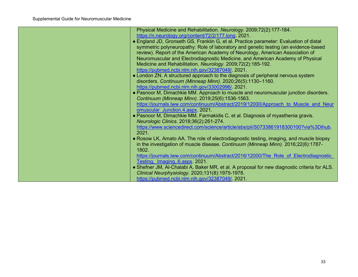| Physical Medicine and Rehabilitation. Neurology. 2009;72(2):177-184.                         |
|----------------------------------------------------------------------------------------------|
| https://n.neurology.org/content/72/2/177.long. 2021.                                         |
| • England JD, Gronseth GS, Franklin G, et al. Practice parameter: Evaluation of distal       |
| symmetric polyneuropathy: Role of laboratory and genetic testing (an evidence-based          |
| review). Report of the American Academy of Neurology, American Association of                |
| Neuromuscular and Electrodiagnostic Medicine, and American Academy of Physical               |
| Medicine and Rehabilitation. Neurology. 2009;72(2):185-192.                                  |
| https://pubmed.ncbi.nlm.nih.gov/32387049/. 2021.                                             |
| • London ZN. A structured approach to the diagnosis of peripheral nervous system             |
| disorders. Continuum (Minneap Minn). 2020;26(5):1130-1160.                                   |
| https://pubmed.ncbi.nlm.nih.gov/33002996/. 2021.                                             |
| • Pasnoor M, Dimachkie MM. Approach to muscle and neuromuscular junction disorders.          |
| Continuum (Minneap Minn). 2019;25(6):1536-1563.                                              |
| https://journals.lww.com/continuum/Abstract/2019/12000/Approach to Muscle and Neur           |
| omuscular Junction.4.aspx. 2021.                                                             |
| • Pasnoor M, Dimachkie MM, Farmakidis C, et al. Diagnosis of myasthenia gravis.              |
| Neurologic Clinics. 2018;36(2):261-274.                                                      |
| https://www.sciencedirect.com/science/article/abs/pii/S0733861918300100?via%3Dihub.          |
| 2021.                                                                                        |
| • Rosow LK, Amato AA. The role of electrodiagnostic testing, imaging, and muscle biopsy      |
| in the investigation of muscle disease. Continuum (Minneap Minn). 2016;22(6):1787-           |
| 1802.                                                                                        |
| https://journals.lww.com/continuum/Abstract/2016/12000/The Role of Electrodiagnostic         |
| Testing, Imaging, 6.aspx 2021.                                                               |
| • Shefner JM, Al-Chalabi A, Baker MR, et al. A proposal for new diagnostic criteria for ALS. |
| Clinical Neurphysiology. 2020;131(8):1975-1978.                                              |
| https://pubmed.ncbi.nlm.nih.gov/32387049/. 2021.                                             |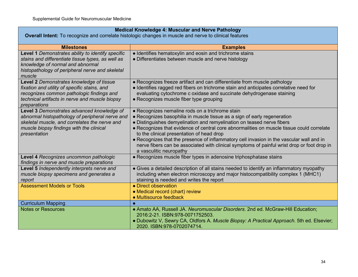| <b>Medical Knowledge 4: Muscular and Nerve Pathology</b>                                                                                                                                                   |                                                                                                                                                                                                                                                                                                                                                                                                                                                                                                                                                                       |
|------------------------------------------------------------------------------------------------------------------------------------------------------------------------------------------------------------|-----------------------------------------------------------------------------------------------------------------------------------------------------------------------------------------------------------------------------------------------------------------------------------------------------------------------------------------------------------------------------------------------------------------------------------------------------------------------------------------------------------------------------------------------------------------------|
| Overall Intent: To recognize and correlate histologic changes in muscle and nerve to clinical features                                                                                                     |                                                                                                                                                                                                                                                                                                                                                                                                                                                                                                                                                                       |
| <b>Milestones</b>                                                                                                                                                                                          | <b>Examples</b>                                                                                                                                                                                                                                                                                                                                                                                                                                                                                                                                                       |
| Level 1 Demonstrates ability to identify specific<br>stains and differentiate tissue types, as well as<br>knowledge of normal and abnormal<br>histopathology of peripheral nerve and skeletal<br>muscle    | • Identifies hematoxylin and eosin and trichrome stains<br>• Differentiates between muscle and nerve histology                                                                                                                                                                                                                                                                                                                                                                                                                                                        |
| Level 2 Demonstrates knowledge of tissue<br>fixation and utility of specific stains, and<br>recognizes common pathologic findings and<br>technical artifacts in nerve and muscle biopsy<br>preparations    | • Recognizes freeze artifact and can differentiate from muscle pathology<br>• Identifies ragged red fibers on trichrome stain and anticipates correlative need for<br>evaluating cytochrome c oxidase and succinate dehydrogenase staining<br>• Recognizes muscle fiber type grouping                                                                                                                                                                                                                                                                                 |
| Level 3 Demonstrates advanced knowledge of<br>abnormal histopathology of peripheral nerve and<br>skeletal muscle, and correlates the nerve and<br>muscle biopsy findings with the clinical<br>presentation | • Recognizes nemaline rods on a trichrome stain<br>• Recognizes basophilia in muscle tissue as a sign of early regeneration<br>• Distinguishes demyelination and remyelination on teased nerve fibers<br>• Recognizes that evidence of central core abnormalities on muscle tissue could correlate<br>to the clinical presentation of head drop<br>• Recognizes that the presence of inflammatory cell invasion in the vascular wall and in<br>nerve fibers can be associated with clinical symptoms of painful wrist drop or foot drop in<br>a vasculitic neuropathy |
| Level 4 Recognizes uncommon pathologic<br>findings in nerve and muscle preparations                                                                                                                        | • Recognizes muscle fiber types in adenosine triphosphatase stains                                                                                                                                                                                                                                                                                                                                                                                                                                                                                                    |
| Level 5 Independently interprets nerve and<br>muscle biopsy specimens and generates a<br>report                                                                                                            | • Gives a detailed description of all stains needed to identify an inflammatory myopathy<br>including when electron microscopy and major histocompatibility complex 1 (MHC1)<br>staining is needed and writes the report                                                                                                                                                                                                                                                                                                                                              |
| <b>Assessment Models or Tools</b>                                                                                                                                                                          | • Direct observation<br>• Medical record (chart) review<br>• Multisource feedback                                                                                                                                                                                                                                                                                                                                                                                                                                                                                     |
| <b>Curriculum Mapping</b>                                                                                                                                                                                  |                                                                                                                                                                                                                                                                                                                                                                                                                                                                                                                                                                       |
| <b>Notes or Resources</b>                                                                                                                                                                                  | • Amato AA, Russell JA. Neuromuscular Disorders. 2nd ed. McGraw-Hill Education;<br>2016:2-21. ISBN:978-0071752503.<br>. Dubowitz V, Sewry CA, Oldfors A. Muscle Biopsy: A Practical Approach. 5th ed. Elsevier;<br>2020. ISBN:978-0702074714.                                                                                                                                                                                                                                                                                                                         |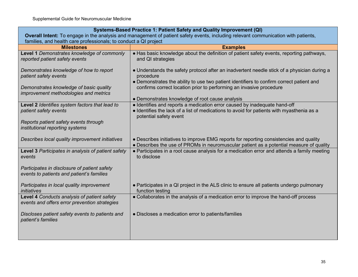| Systems-Based Practice 1: Patient Safety and Quality Improvement (QI)                                                              |                                                                                                                                                                                                  |
|------------------------------------------------------------------------------------------------------------------------------------|--------------------------------------------------------------------------------------------------------------------------------------------------------------------------------------------------|
| Overall Intent: To engage in the analysis and management of patient safety events, including relevant communication with patients, |                                                                                                                                                                                                  |
| families, and health care professionals; to conduct a QI project                                                                   |                                                                                                                                                                                                  |
| <b>Milestones</b>                                                                                                                  | <b>Examples</b>                                                                                                                                                                                  |
| Level 1 Demonstrates knowledge of commonly<br>reported patient safety events                                                       | . Has basic knowledge about the definition of patient safety events, reporting pathways,<br>and QI strategies                                                                                    |
| Demonstrates knowledge of how to report<br>patient safety events                                                                   | • Understands the safety protocol after an inadvertent needle stick of a physician during a<br>procedure                                                                                         |
| Demonstrates knowledge of basic quality<br>improvement methodologies and metrics                                                   | • Demonstrates the ability to use two patient identifiers to confirm correct patient and<br>confirms correct location prior to performing an invasive procedure                                  |
|                                                                                                                                    | • Demonstrates knowledge of root cause analysis                                                                                                                                                  |
| Level 2 Identifies system factors that lead to<br>patient safety events                                                            | • Identifies and reports a medication error caused by inadequate hand-off<br>• Identifies the lack of a list of medications to avoid for patients with myasthenia as a<br>potential safety event |
| Reports patient safety events through<br>institutional reporting systems                                                           |                                                                                                                                                                                                  |
| Describes local quality improvement initiatives                                                                                    | • Describes initiatives to improve EMG reports for reporting consistencies and quality<br>• Describes the use of PROMs in neuromuscular patient as a potential measure of quality                |
| Level 3 Participates in analysis of patient safety<br>events                                                                       | • Participates in a root cause analysis for a medication error and attends a family meeting<br>to disclose                                                                                       |
| Participates in disclosure of patient safety<br>events to patients and patient's families                                          |                                                                                                                                                                                                  |
| Participates in local quality improvement<br>initiatives                                                                           | • Participates in a QI project in the ALS clinic to ensure all patients undergo pulmonary<br>function testing                                                                                    |
| Level 4 Conducts analysis of patient safety<br>events and offers error prevention strategies                                       | • Collaborates in the analysis of a medication error to improve the hand-off process                                                                                                             |
| Discloses patient safety events to patients and<br>patient's families                                                              | • Discloses a medication error to patients/families                                                                                                                                              |
|                                                                                                                                    |                                                                                                                                                                                                  |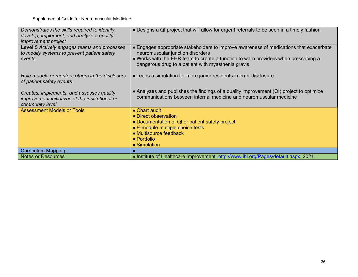| Demonstrates the skills required to identify,<br>develop, implement, and analyze a quality<br><i>improvement project</i> | • Designs a QI project that will allow for urgent referrals to be seen in a timely fashion                                                                                                                                                                              |
|--------------------------------------------------------------------------------------------------------------------------|-------------------------------------------------------------------------------------------------------------------------------------------------------------------------------------------------------------------------------------------------------------------------|
| Level 5 Actively engages teams and processes<br>to modify systems to prevent patient safety<br>events                    | • Engages appropriate stakeholders to improve awareness of medications that exacerbate<br>neuromuscular junction disorders<br>• Works with the EHR team to create a function to warn providers when prescribing a<br>dangerous drug to a patient with myasthenia gravis |
| Role models or mentors others in the disclosure<br>of patient safety events                                              | • Leads a simulation for more junior residents in error disclosure                                                                                                                                                                                                      |
| Creates, implements, and assesses quality<br>improvement initiatives at the institutional or<br>community level          | • Analyzes and publishes the findings of a quality improvement (QI) project to optimize<br>communications between internal medicine and neuromuscular medicine                                                                                                          |
| <b>Assessment Models or Tools</b>                                                                                        | • Chart audit<br>• Direct observation<br>• Documentation of QI or patient safety project<br>• E-module multiple choice tests<br>• Multisource feedback<br>$\bullet$ Portfolio<br>• Simulation                                                                           |
| <b>Curriculum Mapping</b>                                                                                                |                                                                                                                                                                                                                                                                         |
| <b>Notes or Resources</b>                                                                                                | • Institute of Healthcare Improvement. http://www.ihi.org/Pages/default.aspx. 2021.                                                                                                                                                                                     |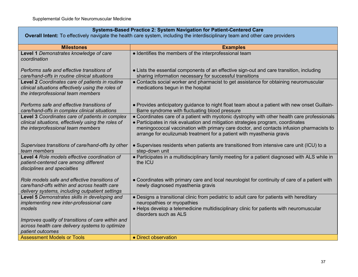# **Systems-Based Practice 2: System Navigation for Patient-Centered Care**

**Overall Intent:** To effectively navigate the health care system, including the interdisciplinary team and other care providers

| <b>Milestones</b>                                                                               | <b>Examples</b>                                                                                                                                                              |
|-------------------------------------------------------------------------------------------------|------------------------------------------------------------------------------------------------------------------------------------------------------------------------------|
| Level 1 Demonstrates knowledge of care                                                          | • Identifies the members of the interprofessional team                                                                                                                       |
| coordination                                                                                    |                                                                                                                                                                              |
| Performs safe and effective transitions of                                                      | • Lists the essential components of an effective sign-out and care transition, including                                                                                     |
| care/hand-offs in routine clinical situations                                                   | sharing information necessary for successful transitions                                                                                                                     |
| <b>Level 2 Coordinates care of patients in routine</b>                                          | • Contacts social worker and pharmacist to get assistance for obtaining neuromuscular                                                                                        |
| clinical situations effectively using the roles of                                              | medications begun in the hospital                                                                                                                                            |
| the interprofessional team members                                                              |                                                                                                                                                                              |
| Performs safe and effective transitions of                                                      | • Provides anticipatory guidance to night float team about a patient with new onset Guillain-                                                                                |
| care/hand-offs in complex clinical situations                                                   | Barre syndrome with fluctuating blood pressure                                                                                                                               |
| Level 3 Coordinates care of patients in complex                                                 | • Coordinates care of a patient with myotonic dystrophy with other health care professionals                                                                                 |
| clinical situations, effectively using the roles of<br>the interprofessional team members       | • Participates in risk evaluation and mitigation strategies program, coordinates<br>meningococcal vaccination with primary care doctor, and contacts infusion pharmacists to |
|                                                                                                 | arrange for eculizumab treatment for a patient with myasthenia gravis                                                                                                        |
|                                                                                                 |                                                                                                                                                                              |
| Supervises transitions of care/hand-offs by other                                               | • Supervises residents when patients are transitioned from intensive care unit (ICU) to a                                                                                    |
| team members<br>Level 4 Role models effective coordination of                                   | step-down unit<br>• Participates in a multidisciplinary family meeting for a patient diagnosed with ALS while in                                                             |
| patient-centered care among different                                                           | the ICU                                                                                                                                                                      |
| disciplines and specialties                                                                     |                                                                                                                                                                              |
|                                                                                                 |                                                                                                                                                                              |
| Role models safe and effective transitions of                                                   | • Coordinates with primary care and local neurologist for continuity of care of a patient with                                                                               |
| care/hand-offs within and across health care<br>delivery systems, including outpatient settings | newly diagnosed myasthenia gravis                                                                                                                                            |
| Level 5 Demonstrates skills in developing and                                                   | • Designs a transitional clinic from pediatric to adult care for patients with hereditary                                                                                    |
| implementing new inter-professional care                                                        | neuropathies or myopathies                                                                                                                                                   |
| models                                                                                          | • Helps develop a telemedicine multidisciplinary clinic for patients with neuromuscular<br>disorders such as ALS                                                             |
| Improves quality of transitions of care within and                                              |                                                                                                                                                                              |
| across health care delivery systems to optimize                                                 |                                                                                                                                                                              |
| patient outcomes<br><b>Assessment Models or Tools</b>                                           | • Direct observation                                                                                                                                                         |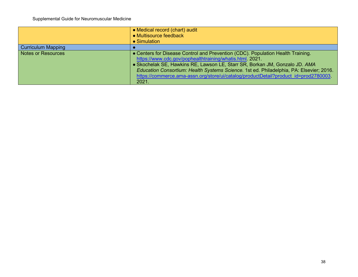|                           | • Medical record (chart) audit<br>• Multisource feedback<br>• Simulation                                                                                                                                                                                                                                                                                                                                              |
|---------------------------|-----------------------------------------------------------------------------------------------------------------------------------------------------------------------------------------------------------------------------------------------------------------------------------------------------------------------------------------------------------------------------------------------------------------------|
| <b>Curriculum Mapping</b> |                                                                                                                                                                                                                                                                                                                                                                                                                       |
| <b>Notes or Resources</b> | • Centers for Disease Control and Prevention (CDC). Population Health Training.<br>https://www.cdc.gov/pophealthtraining/whatis.html. 2021.<br>• Skochelak SE, Hawkins RE, Lawson LE, Starr SR, Borkan JM, Gonzalo JD. AMA<br>Education Consortium: Health Systems Science. 1st ed. Philadelphia, PA: Elsevier; 2016.<br>https://commerce.ama-assn.org/store/ui/catalog/productDetail?product_id=prod2780003<br>2021. |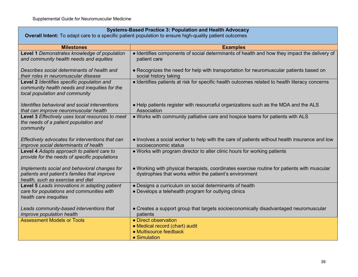| <b>Systems-Based Practice 3: Population and Health Advocacy</b><br>Overall Intent: To adapt care to a specific patient population to ensure high-quality patient outcomes |                                                                                                                                                        |
|---------------------------------------------------------------------------------------------------------------------------------------------------------------------------|--------------------------------------------------------------------------------------------------------------------------------------------------------|
| <b>Milestones</b>                                                                                                                                                         | <b>Examples</b>                                                                                                                                        |
| Level 1 Demonstrates knowledge of population<br>and community health needs and equities                                                                                   | • Identifies components of social determinants of health and how they impact the delivery of<br>patient care                                           |
| Describes social determinants of health and<br>their roles in neuromuscular disease                                                                                       | • Recognizes the need for help with transportation for neuromuscular patients based on<br>social history taking                                        |
| Level 2 Identifies specific population and<br>community health needs and inequities for the<br>local population and community                                             | • Identifies patients at risk for specific health outcomes related to health literacy concerns                                                         |
| Identifies behavioral and social interventions<br>that can improve neuromuscular health                                                                                   | • Help patients register with resourceful organizations such as the MDA and the ALS<br>Association                                                     |
| Level 3 Effectively uses local resources to meet<br>the needs of a patient population and<br>community                                                                    | . Works with community palliative care and hospice teams for patients with ALS                                                                         |
| Effectively advocates for interventions that can<br>improve social determinants of health                                                                                 | • Involves a social worker to help with the care of patients without health insurance and low<br>socioeconomic status                                  |
| Level 4 Adapts approach to patient care to<br>provide for the needs of specific populations                                                                               | • Works with program director to alter clinic hours for working patients                                                                               |
| Implements social and behavioral changes for<br>patients and patient's families that improve<br>health, such as exercise and diet                                         | • Working with physical therapists, coordinates exercise routine for patients with muscular<br>dystrophies that works within the patient's environment |
| Level 5 Leads innovations in adapting patient<br>care for populations and communities with<br>health care inequities                                                      | • Designs a curriculum on social determinants of health<br>• Develops a telehealth program for outlying clinics                                        |
| Leads community-based interventions that<br>improve population health                                                                                                     | • Creates a support group that targets socioeconomically disadvantaged neuromuscular<br>patients                                                       |
| <b>Assessment Models or Tools</b>                                                                                                                                         | • Direct observation<br>• Medical record (chart) audit<br>• Multisource feedback<br>• Simulation                                                       |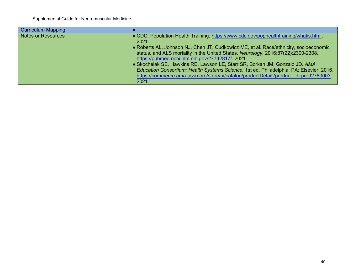| <b>Curriculum Mapping</b> |                                                                                                                                                                                                                                                                                                                                                                                                                                                                                                                                                                                                   |
|---------------------------|---------------------------------------------------------------------------------------------------------------------------------------------------------------------------------------------------------------------------------------------------------------------------------------------------------------------------------------------------------------------------------------------------------------------------------------------------------------------------------------------------------------------------------------------------------------------------------------------------|
| <b>Notes or Resources</b> | . CDC. Population Health Training. https://www.cdc.gov/pophealthtraining/whatis.html<br>2021.<br>• Roberts AL, Johnson NJ, Chen JT, Cudkowicz ME, et al. Race/ethnicity, socioeconomic<br>status, and ALS mortality in the United States. Neurology. 2016;87(22):2300-2308.<br>https://pubmed.ncbi.nlm.nih.gov/27742817/. 2021.<br>• Skochelak SE, Hawkins RE, Lawson LE, Starr SR, Borkan JM, Gonzalo JD. AMA<br>Education Consortium: Health Systems Science. 1st ed. Philadelphia, PA: Elsevier; 2016.<br>https://commerce.ama-assn.org/store/ui/catalog/productDetail?product_id=prod2780003_ |
|                           | 2021.                                                                                                                                                                                                                                                                                                                                                                                                                                                                                                                                                                                             |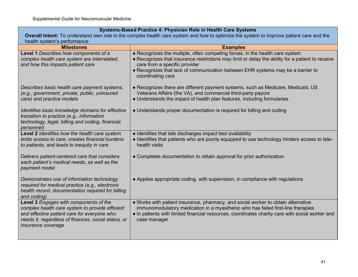| Systems-Based Practice 4: Physician Role in Health Care Systems                                                                                                                                                       |                                                                                                                                                                                                                                                                                         |
|-----------------------------------------------------------------------------------------------------------------------------------------------------------------------------------------------------------------------|-----------------------------------------------------------------------------------------------------------------------------------------------------------------------------------------------------------------------------------------------------------------------------------------|
| Overall Intent: To understand own role in the complex health care system and how to optimize the system to improve patient care and the                                                                               |                                                                                                                                                                                                                                                                                         |
| health system's performance<br><b>Milestones</b>                                                                                                                                                                      | <b>Examples</b>                                                                                                                                                                                                                                                                         |
| Level 1 Describes how components of a                                                                                                                                                                                 | • Recognizes the multiple, often competing forces, in the health care system                                                                                                                                                                                                            |
| complex health care system are interrelated,<br>and how this impacts patient care                                                                                                                                     | • Recognizes that insurance restrictions may limit or delay the ability for a patient to receive<br>care from a specific provider                                                                                                                                                       |
|                                                                                                                                                                                                                       | • Recognizes that lack of communication between EHR systems may be a barrier to<br>coordinating care                                                                                                                                                                                    |
| Describes basic health care payment systems,<br>(e.g., government, private, public, uninsured                                                                                                                         | • Recognizes there are different payment systems, such as Medicare, Medicaid, US<br>Veterans Affairs (the VA), and commercial third-party payors                                                                                                                                        |
| care) and practice models                                                                                                                                                                                             | • Understands the impact of health plan features, including formularies                                                                                                                                                                                                                 |
| Identifies basic knowledge domains for effective<br>transition to practice (e.g., information<br>technology, legal, billing and coding, financial,<br>personnel)                                                      | • Understands proper documentation is required for billing and coding                                                                                                                                                                                                                   |
| Level 2 Identifies how the health care system<br>limits access to care, creates financial burdens<br>to patients, and leads to inequity in care                                                                       | • Identifies that late discharges impact bed availability<br>• Identifies that patients who are poorly equipped to use technology hinders access to tele-<br>health visits                                                                                                              |
| Delivers patient-centered care that considers<br>each patient's medical needs, as well as the<br>payment model                                                                                                        | • Completes documentation to obtain approval for prior authorization                                                                                                                                                                                                                    |
| Demonstrates use of information technology<br>required for medical practice (e.g., electronic<br>health record, documentation required for billing<br>and coding)                                                     | • Applies appropriate coding, with supervision, in compliance with regulations                                                                                                                                                                                                          |
| Level 3 Engages with components of the<br>complex health care system to provide efficient<br>and effective patient care for everyone who<br>needs it, regardless of finances, social status, or<br>insurance coverage | . Works with patient insurance, pharmacy, and social worker to obtain alternative<br>immunomodulatory medication in a myasthenic who has failed first-line therapies<br>• In patients with limited financial resources, coordinates charity care with social worker and<br>case manager |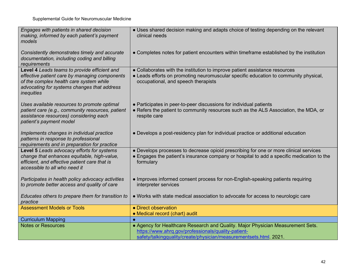| Engages with patients in shared decision<br>making, informed by each patient's payment<br>models                                                                                                             | • Uses shared decision making and adapts choice of testing depending on the relevant<br>clinical needs                                                                                                     |
|--------------------------------------------------------------------------------------------------------------------------------------------------------------------------------------------------------------|------------------------------------------------------------------------------------------------------------------------------------------------------------------------------------------------------------|
| Consistently demonstrates timely and accurate<br>documentation, including coding and billing<br>requirements                                                                                                 | • Completes notes for patient encounters within timeframe established by the institution                                                                                                                   |
| Level 4 Leads teams to provide efficient and<br>effective patient care by managing components<br>of the complex health care system while<br>advocating for systems changes that address<br><i>inequities</i> | • Collaborates with the institution to improve patient assistance resources<br>• Leads efforts on promoting neuromuscular specific education to community physical,<br>occupational, and speech therapists |
| Uses available resources to promote optimal<br>patient care (e.g., community resources, patient<br>assistance resources) considering each<br>patient's payment model                                         | • Participates in peer-to-peer discussions for individual patients<br>• Refers the patient to community resources such as the ALS Association, the MDA, or<br>respite care                                 |
| Implements changes in individual practice<br>patterns in response to professional<br>requirements and in preparation for practice                                                                            | • Develops a post-residency plan for individual practice or additional education                                                                                                                           |
| Level 5 Leads advocacy efforts for systems<br>change that enhances equitable, high-value,<br>efficient, and effective patient care that is<br>accessible to all who need it                                  | • Develops processes to decrease opioid prescribing for one or more clinical services<br>• Engages the patient's insurance company or hospital to add a specific medication to the<br>formulary            |
| Participates in health policy advocacy activities<br>to promote better access and quality of care                                                                                                            | • Improves informed consent process for non-English-speaking patients requiring<br>interpreter services                                                                                                    |
| Educates others to prepare them for transition to<br>practice                                                                                                                                                | • Works with state medical association to advocate for access to neurologic care                                                                                                                           |
| <b>Assessment Models or Tools</b>                                                                                                                                                                            | • Direct observation<br>• Medical record (chart) audit                                                                                                                                                     |
| <b>Curriculum Mapping</b>                                                                                                                                                                                    |                                                                                                                                                                                                            |
| <b>Notes or Resources</b>                                                                                                                                                                                    | • Agency for Healthcare Research and Quality. Major Physician Measurement Sets.<br>https://www.ahrq.gov/professionals/quality-patient-                                                                     |
|                                                                                                                                                                                                              | safety/talkingquality/create/physician/measurementsets.html. 2021.                                                                                                                                         |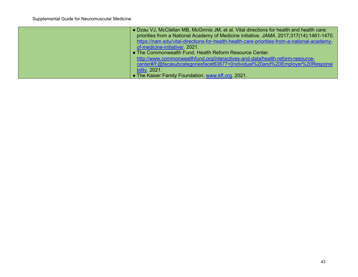| • Dzau VJ, McClellan MB, McGinnis JM, et al. Vital directions for health and health care:   |
|---------------------------------------------------------------------------------------------|
| priorities from a National Academy of Medicine initiative. JAMA. 2017;317(14):1461-1470.    |
| https://nam.edu/vital-directions-for-health-health-care-priorities-from-a-national-academy- |
| of-medicine-initiative/ 2021.                                                               |
| • The Commonwealth Fund. Health Reform Resource Center.                                     |
| http://www.commonwealthfund.org/interactives-and-data/health-reform-resource-               |
| center#/f:@facasubcategoriesfacet63677=[Individual%20and%20Employer%20Responsi              |
| bility 2021.                                                                                |
| • The Kaiser Family Foundation. www.kff.org. 2021.                                          |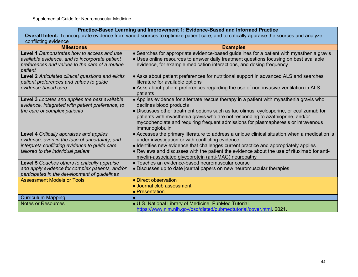**Practice-Based Learning and Improvement 1: Evidence-Based and Informed Practice**

**Overall Intent:** To incorporate evidence from varied sources to optimize patient care, and to critically appraise the sources and analyze conflicting evidence

| <b>Milestones</b>                                                                                                                                                                 | <b>Examples</b>                                                                                                                                                                                                                                                                                                                                                                                        |
|-----------------------------------------------------------------------------------------------------------------------------------------------------------------------------------|--------------------------------------------------------------------------------------------------------------------------------------------------------------------------------------------------------------------------------------------------------------------------------------------------------------------------------------------------------------------------------------------------------|
| Level 1 Demonstrates how to access and use<br>available evidence, and to incorporate patient<br>preferences and values to the care of a routine<br>patient                        | • Searches for appropriate evidence-based guidelines for a patient with myasthenia gravis<br>• Uses online resources to answer daily treatment questions focusing on best available<br>evidence, for example medication interactions, and dosing frequency                                                                                                                                             |
| Level 2 Articulates clinical questions and elicits<br>patient preferences and values to guide<br>evidence-based care                                                              | • Asks about patient preferences for nutritional support in advanced ALS and searches<br>literature for available options<br>• Asks about patient preferences regarding the use of non-invasive ventilation in ALS<br>patients                                                                                                                                                                         |
| Level 3 Locates and applies the best available<br>evidence, integrated with patient preference, to<br>the care of complex patients                                                | • Applies evidence for alternate rescue therapy in a patient with myasthenia gravis who<br>declines blood products<br>• Discusses other treatment options such as tacrolimus, cyclosporine, or eculizumab for<br>patients with myasthenia gravis who are not responding to azathioprine, and/or<br>mycophenolate and requiring frequent admissions for plasmapheresis or intravenous<br>immunoglobulin |
| Level 4 Critically appraises and applies<br>evidence, even in the face of uncertainty, and<br>interprets conflicting evidence to guide care<br>tailored to the individual patient | • Accesses the primary literature to address a unique clinical situation when a medication is<br>under investigation or with conflicting evidence<br>• Identifies new evidence that challenges current practice and appropriately applies<br>• Reviews and discusses with the patient the evidence about the use of rituximab for anti-<br>myelin-associated glycoprotein (anti-MAG) neuropathy        |
| Level 5 Coaches others to critically appraise<br>and apply evidence for complex patients, and/or<br>participates in the development of guidelines                                 | • Teaches an evidence-based neuromuscular course<br>• Discusses up to date journal papers on new neuromuscular therapies                                                                                                                                                                                                                                                                               |
| <b>Assessment Models or Tools</b>                                                                                                                                                 | • Direct observation<br>• Journal club assessment<br>• Presentation                                                                                                                                                                                                                                                                                                                                    |
| <b>Curriculum Mapping</b>                                                                                                                                                         |                                                                                                                                                                                                                                                                                                                                                                                                        |
| Notes or Resources                                                                                                                                                                | • U.S. National Library of Medicine. PubMed Tutorial.<br>https://www.nlm.nih.gov/bsd/disted/pubmedtutorial/cover.html 2021.                                                                                                                                                                                                                                                                            |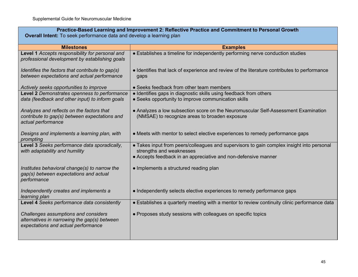| Practice-Based Learning and Improvement 2: Reflective Practice and Commitment to Personal Growth<br><b>Overall Intent:</b> To seek performance data and develop a learning plan |                                                                                                                                                                                         |
|---------------------------------------------------------------------------------------------------------------------------------------------------------------------------------|-----------------------------------------------------------------------------------------------------------------------------------------------------------------------------------------|
| <b>Milestones</b>                                                                                                                                                               | <b>Examples</b>                                                                                                                                                                         |
| Level 1 Accepts responsibility for personal and<br>professional development by establishing goals                                                                               | • Establishes a timeline for independently performing nerve conduction studies                                                                                                          |
| Identifies the factors that contribute to gap(s)<br>between expectations and actual performance                                                                                 | • Identifies that lack of experience and review of the literature contributes to performance<br>gaps                                                                                    |
| Actively seeks opportunities to improve                                                                                                                                         | • Seeks feedback from other team members                                                                                                                                                |
| Level 2 Demonstrates openness to performance<br>data (feedback and other input) to inform goals                                                                                 | • Identifies gaps in diagnostic skills using feedback from others<br>• Seeks opportunity to improve communication skills                                                                |
| Analyzes and reflects on the factors that<br>contribute to gap(s) between expectations and<br>actual performance                                                                | • Analyzes a low subsection score on the Neuromuscular Self-Assessment Examination<br>(NMSAE) to recognize areas to broaden exposure                                                    |
| Designs and implements a learning plan, with<br>prompting                                                                                                                       | • Meets with mentor to select elective experiences to remedy performance gaps                                                                                                           |
| Level 3 Seeks performance data sporadically,<br>with adaptability and humility                                                                                                  | • Takes input from peers/colleagues and supervisors to gain complex insight into personal<br>strengths and weaknesses<br>• Accepts feedback in an appreciative and non-defensive manner |
| Institutes behavioral change(s) to narrow the<br>gap(s) between expectations and actual<br>performance                                                                          | • Implements a structured reading plan                                                                                                                                                  |
| Independently creates and implements a<br>learning plan                                                                                                                         | • Independently selects elective experiences to remedy performance gaps                                                                                                                 |
| Level 4 Seeks performance data consistently                                                                                                                                     | • Establishes a quarterly meeting with a mentor to review continuity clinic performance data                                                                                            |
| Challenges assumptions and considers<br>alternatives in narrowing the gap(s) between<br>expectations and actual performance                                                     | • Proposes study sessions with colleagues on specific topics                                                                                                                            |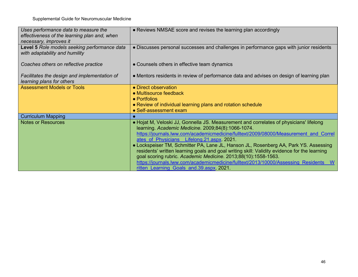| Uses performance data to measure the<br>effectiveness of the learning plan and, when<br>necessary, improves it | • Reviews NMSAE score and revises the learning plan accordingly                                                                                                                                                                                                                                                                                                                                                                                                                                                                                                                                                                                                                |
|----------------------------------------------------------------------------------------------------------------|--------------------------------------------------------------------------------------------------------------------------------------------------------------------------------------------------------------------------------------------------------------------------------------------------------------------------------------------------------------------------------------------------------------------------------------------------------------------------------------------------------------------------------------------------------------------------------------------------------------------------------------------------------------------------------|
| Level 5 Role models seeking performance data<br>with adaptability and humility                                 | • Discusses personal successes and challenges in performance gaps with junior residents                                                                                                                                                                                                                                                                                                                                                                                                                                                                                                                                                                                        |
| Coaches others on reflective practice                                                                          | • Counsels others in effective team dynamics                                                                                                                                                                                                                                                                                                                                                                                                                                                                                                                                                                                                                                   |
| Facilitates the design and implementation of<br>learning plans for others                                      | • Mentors residents in review of performance data and advises on design of learning plan                                                                                                                                                                                                                                                                                                                                                                                                                                                                                                                                                                                       |
| <b>Assessment Models or Tools</b>                                                                              | • Direct observation<br>$\bullet$ Multisource feedback<br>• Portfolios<br>• Review of individual learning plans and rotation schedule<br>• Self-assessment exam                                                                                                                                                                                                                                                                                                                                                                                                                                                                                                                |
| <b>Curriculum Mapping</b>                                                                                      |                                                                                                                                                                                                                                                                                                                                                                                                                                                                                                                                                                                                                                                                                |
| <b>Notes or Resources</b>                                                                                      | • Hojat M, Veloski JJ, Gonnella JS. Measurement and correlates of physicians' lifelong<br>learning. Academic Medicine. 2009;84(8):1066-1074.<br>https://journals.lww.com/academicmedicine/fulltext/2009/08000/Measurement and Correl<br>ates of Physicians Lifelong. 21. aspx. 2021.<br>• Lockspeiser TM, Schmitter PA, Lane JL, Hanson JL, Rosenberg AA, Park YS. Assessing<br>residents' written learning goals and goal writing skill: Validity evidence for the learning<br>goal scoring rubric. Academic Medicine. 2013;88(10):1558-1563.<br>https://journals.lww.com/academicmedicine/fulltext/2013/10000/Assessing Residents<br>ritten Learning Goals and 39 aspx 2021. |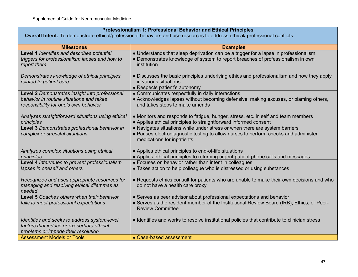## **Professionalism 1: Professional Behavior and Ethical Principles**

**Overall Intent:** To demonstrate ethical/professional behaviors and use resources to address ethical/ professional conflicts

| <b>Milestones</b>                                                                         | <b>Examples</b>                                                                              |
|-------------------------------------------------------------------------------------------|----------------------------------------------------------------------------------------------|
| Level 1 Identifies and describes potential                                                | • Understands that sleep deprivation can be a trigger for a lapse in professionalism         |
| triggers for professionalism lapses and how to                                            | • Demonstrates knowledge of system to report breaches of professionalism in own              |
| report them                                                                               | institution                                                                                  |
| Demonstrates knowledge of ethical principles                                              | • Discusses the basic principles underlying ethics and professionalism and how they apply    |
| related to patient care                                                                   | in various situations                                                                        |
|                                                                                           | • Respects patient's autonomy                                                                |
| Level 2 Demonstrates insight into professional                                            | • Communicates respectfully in daily interactions                                            |
| behavior in routine situations and takes                                                  | • Acknowledges lapses without becoming defensive, making excuses, or blaming others,         |
| responsibility for one's own behavior                                                     | and takes steps to make amends                                                               |
| Analyzes straightforward situations using ethical                                         | • Monitors and responds to fatigue, hunger, stress, etc. in self and team members            |
| principles                                                                                | • Applies ethical principles to straightforward informed consent                             |
| Level 3 Demonstrates professional behavior in                                             | • Navigates situations while under stress or when there are system barriers                  |
| complex or stressful situations                                                           | • Pauses electrodiagnostic testing to allow nurses to perform checks and administer          |
|                                                                                           | medications for inpatients                                                                   |
| Analyzes complex situations using ethical                                                 | • Applies ethical principles to end-of-life situations                                       |
| principles                                                                                | • Applies ethical principles to returning urgent patient phone calls and messages            |
| Level 4 Intervenes to prevent professionalism                                             | • Focuses on behavior rather than intent in colleagues                                       |
| lapses in oneself and others                                                              | • Takes action to help colleague who is distressed or using substances                       |
|                                                                                           |                                                                                              |
| Recognizes and uses appropriate resources for                                             | • Requests ethics consult for patients who are unable to make their own decisions and who    |
| managing and resolving ethical dilemmas as<br>needed                                      | do not have a health care proxy                                                              |
| <b>Level 5</b> Coaches others when their behavior                                         | • Serves as peer advisor about professional expectations and behavior                        |
| fails to meet professional expectations                                                   | • Serves as the resident member of the Institutional Review Board (IRB), Ethics, or Peer-    |
|                                                                                           | <b>Review Committee</b>                                                                      |
|                                                                                           |                                                                                              |
| Identifies and seeks to address system-level<br>factors that induce or exacerbate ethical | • Identifies and works to resolve institutional policies that contribute to clinician stress |
| problems or impede their resolution                                                       |                                                                                              |
| <b>Assessment Models or Tools</b>                                                         | • Case-based assessment                                                                      |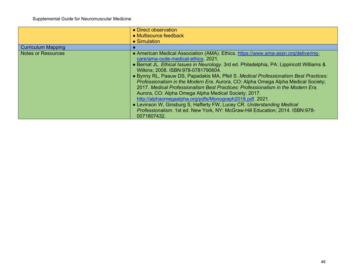|                           | • Direct observation                                                                      |
|---------------------------|-------------------------------------------------------------------------------------------|
|                           | • Multisource feedback                                                                    |
|                           | • Simulation                                                                              |
| <b>Curriculum Mapping</b> |                                                                                           |
| <b>Notes or Resources</b> | • American Medical Association (AMA). Ethics. https://www.ama-assn.org/delivering-        |
|                           | care/ama-code-medical-ethics. 2021.                                                       |
|                           | • Bernat JL. Ethical Issues in Neurology. 3rd ed. Philadelphia, PA: Lippincott Williams & |
|                           | Wilkins: 2008. ISBN: 978-0781790604.                                                      |
|                           | . Bynny RL, Paauw DS, Papadakis MA, Pfeil S. Medical Professionalism Best Practices:      |
|                           | Professionalism in the Modern Era. Aurora, CO: Alpha Omega Alpha Medical Society;         |
|                           | 2017. Medical Professionalism Best Practices: Professionalism in the Modern Era.          |
|                           | Aurora, CO: Alpha Omega Alpha Medical Society; 2017.                                      |
|                           | http://alphaomegaalpha.org/pdfs/Monograph2018.pdf 2021.                                   |
|                           | • Levinson W, Ginsburg S, Hafferty FW, Lucey CR. Understanding Medical                    |
|                           | Professionalism. 1st ed. New York, NY: McGraw-Hill Education; 2014. ISBN:978-             |
|                           | 0071807432.                                                                               |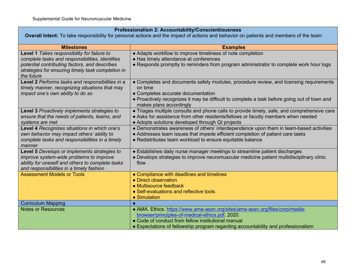## **Professionalism 2: Accountability/Conscientiousness**

**Overall Intent:** To take responsibility for personal actions and the impact of actions and behavior on patients and members of the team

| <b>Milestones</b>                                                                                  | <b>Examples</b>                                                                                                         |
|----------------------------------------------------------------------------------------------------|-------------------------------------------------------------------------------------------------------------------------|
| Level 1 Takes responsibility for failure to                                                        | • Adapts workflow to improve timeliness of note completion                                                              |
| complete tasks and responsibilities, identifies                                                    | • Has timely attendance at conferences                                                                                  |
| potential contributing factors, and describes                                                      | • Responds promptly to reminders from program administrator to complete work hour logs                                  |
| strategies for ensuring timely task completion in                                                  |                                                                                                                         |
| the future                                                                                         |                                                                                                                         |
| Level 2 Performs tasks and responsibilities in a<br>timely manner, recognizing situations that may | • Completes and documents safety modules, procedure review, and licensing requirements<br>on time                       |
| impact one's own ability to do so                                                                  | • Completes accurate documentation                                                                                      |
|                                                                                                    | • Proactively recognizes it may be difficult to complete a task before going out of town and<br>makes plans accordingly |
| Level 3 Proactively implements strategies to                                                       | • Triages multiple consults and phone calls to provide timely, safe, and comprehensive care                             |
| ensure that the needs of patients, teams, and                                                      | • Asks for assistance from other residents/fellows or faculty members when needed                                       |
| systems are met                                                                                    | • Adopts solutions developed through QI projects                                                                        |
| Level 4 Recognizes situations in which one's                                                       | • Demonstrates awareness of others' interdependence upon them in team-based activities                                  |
| own behavior may impact others' ability to                                                         | • Addresses team issues that impede efficient completion of patient care tasks                                          |
| complete tasks and responsibilities in a timely                                                    | • Redistributes team workload to ensure equitable balance                                                               |
| manner                                                                                             |                                                                                                                         |
| Level 5 Develops or implements strategies to                                                       | • Establishes daily nurse manager meetings to streamline patient discharges                                             |
| improve system-wide problems to improve                                                            | • Develops strategies to improve neuromuscular medicine patient multidisciplinary clinic                                |
| ability for oneself and others to complete tasks                                                   | flow                                                                                                                    |
| and responsibilities in a timely fashion                                                           |                                                                                                                         |
| <b>Assessment Models or Tools</b>                                                                  | • Compliance with deadlines and timelines<br>• Direct observation                                                       |
|                                                                                                    | • Multisource feedback                                                                                                  |
|                                                                                                    | • Self-evaluations and reflective tools                                                                                 |
|                                                                                                    | • Simulation                                                                                                            |
| <b>Curriculum Mapping</b>                                                                          |                                                                                                                         |
| <b>Notes or Resources</b>                                                                          | • AMA. Ethics. https://www.ama-assn.org/sites/ama-assn.org/files/corp/media-                                            |
|                                                                                                    | browser/principles-of-medical-ethics.pdf. 2020.                                                                         |
|                                                                                                    | • Code of conduct from fellow institutional manual                                                                      |
|                                                                                                    | • Expectations of fellowship program regarding accountability and professionalism                                       |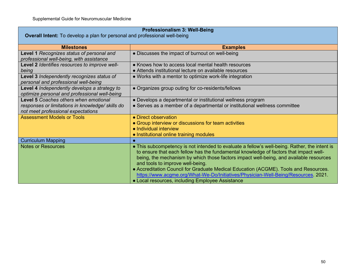| <b>Professionalism 3: Well-Being</b>                                                          |                                                                                                                                                                                                                                                                                                                                                                                                                                                                                                                                                        |
|-----------------------------------------------------------------------------------------------|--------------------------------------------------------------------------------------------------------------------------------------------------------------------------------------------------------------------------------------------------------------------------------------------------------------------------------------------------------------------------------------------------------------------------------------------------------------------------------------------------------------------------------------------------------|
| <b>Overall Intent:</b> To develop a plan for personal and professional well-being             |                                                                                                                                                                                                                                                                                                                                                                                                                                                                                                                                                        |
| <b>Milestones</b>                                                                             | <b>Examples</b>                                                                                                                                                                                                                                                                                                                                                                                                                                                                                                                                        |
| Level 1 Recognizes status of personal and<br>professional well-being, with assistance         | • Discusses the impact of burnout on well-being                                                                                                                                                                                                                                                                                                                                                                                                                                                                                                        |
| Level 2 Identifies resources to improve well-<br>being                                        | • Knows how to access local mental health resources<br>• Attends institutional lecture on available resources                                                                                                                                                                                                                                                                                                                                                                                                                                          |
| Level 3 Independently recognizes status of<br>personal and professional well-being            | • Works with a mentor to optimize work-life integration                                                                                                                                                                                                                                                                                                                                                                                                                                                                                                |
| Level 4 Independently develops a strategy to<br>optimize personal and professional well-being | • Organizes group outing for co-residents/fellows                                                                                                                                                                                                                                                                                                                                                                                                                                                                                                      |
| Level 5 Coaches others when emotional                                                         | • Develops a departmental or institutional wellness program                                                                                                                                                                                                                                                                                                                                                                                                                                                                                            |
| responses or limitations in knowledge/skills do<br>not meet professional expectations         | • Serves as a member of a departmental or institutional wellness committee                                                                                                                                                                                                                                                                                                                                                                                                                                                                             |
| <b>Assessment Models or Tools</b>                                                             | • Direct observation                                                                                                                                                                                                                                                                                                                                                                                                                                                                                                                                   |
|                                                                                               | • Group interview or discussions for team activities                                                                                                                                                                                                                                                                                                                                                                                                                                                                                                   |
|                                                                                               | • Individual interview                                                                                                                                                                                                                                                                                                                                                                                                                                                                                                                                 |
| <b>Curriculum Mapping</b>                                                                     | • Institutional online training modules                                                                                                                                                                                                                                                                                                                                                                                                                                                                                                                |
| <b>Notes or Resources</b>                                                                     | • This subcompetency is not intended to evaluate a fellow's well-being. Rather, the intent is<br>to ensure that each fellow has the fundamental knowledge of factors that impact well-<br>being, the mechanism by which those factors impact well-being, and available resources<br>and tools to improve well-being.<br>• Accreditation Council for Graduate Medical Education (ACGME). Tools and Resources.<br>https://www.acgme.org/What-We-Do/Initiatives/Physician-Well-Being/Resources. 2021.<br>• Local resources, including Employee Assistance |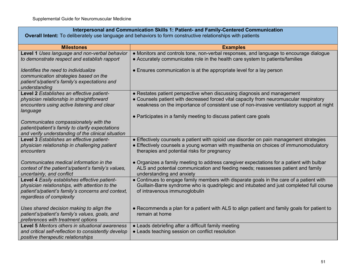| Interpersonal and Communication Skills 1: Patient- and Family-Centered Communication<br>Overall Intent: To deliberately use language and behaviors to form constructive relationships with patients |                                                                                                                                                                                                                                                                |
|-----------------------------------------------------------------------------------------------------------------------------------------------------------------------------------------------------|----------------------------------------------------------------------------------------------------------------------------------------------------------------------------------------------------------------------------------------------------------------|
| <b>Milestones</b>                                                                                                                                                                                   | <b>Examples</b>                                                                                                                                                                                                                                                |
| Level 1 Uses language and non-verbal behavior<br>to demonstrate respect and establish rapport                                                                                                       | • Monitors and controls tone, non-verbal responses, and language to encourage dialogue<br>• Accurately communicates role in the health care system to patients/families                                                                                        |
| Identifies the need to individualize<br>communication strategies based on the<br>patient's/patient's family's expectations and<br>understanding                                                     | • Ensures communication is at the appropriate level for a lay person                                                                                                                                                                                           |
| Level 2 Establishes an effective patient-<br>physician relationship in straightforward<br>encounters using active listening and clear<br>language                                                   | • Restates patient perspective when discussing diagnosis and management<br>• Counsels patient with decreased forced vital capacity from neuromuscular respiratory<br>weakness on the importance of consistent use of non-invasive ventilatory support at night |
| Communicates compassionately with the<br>patient/patient's family to clarify expectations<br>and verify understanding of the clinical situation                                                     | • Participates in a family meeting to discuss patient care goals                                                                                                                                                                                               |
| Level 3 Establishes an effective patient-<br>physician relationship in challenging patient<br>encounters                                                                                            | • Effectively counsels a patient with opioid use disorder on pain management strategies<br>• Effectively counsels a young woman with myasthenia on choices of immunomodulatory<br>therapies and potential risks for pregnancy                                  |
| Communicates medical information in the<br>context of the patient's/patient's family's values,<br>uncertainty, and conflict                                                                         | • Organizes a family meeting to address caregiver expectations for a patient with bulbar<br>ALS and potential communication and feeding needs; reassesses patient and family<br>understanding and anxiety                                                      |
| Level 4 Easily establishes effective patient-<br>physician relationships, with attention to the<br>patient's/patient's family's concerns and context,<br>regardless of complexity                   | • Continues to engage family members with disparate goals in the care of a patient with<br>Guillain-Barre syndrome who is quadriplegic and intubated and just completed full course<br>of intravenous immunoglobulin                                           |
| Uses shared decision making to align the<br>patient's/patient's family's values, goals, and<br>preferences with treatment options                                                                   | • Recommends a plan for a patient with ALS to align patient and family goals for patient to<br>remain at home                                                                                                                                                  |
| Level 5 Mentors others in situational awareness<br>and critical self-reflection to consistently develop<br>positive therapeutic relationships                                                       | • Leads debriefing after a difficult family meeting<br>• Leads teaching session on conflict resolution                                                                                                                                                         |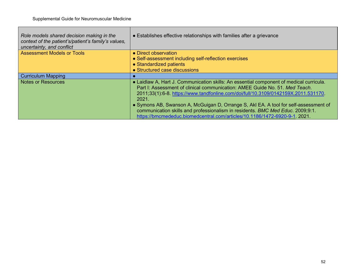| Role models shared decision making in the<br>context of the patient's/patient's family's values,<br>uncertainty, and conflict | • Establishes effective relationships with families after a grievance                                                                                                                                                                                                                                                                                                                                                                                                                                                         |
|-------------------------------------------------------------------------------------------------------------------------------|-------------------------------------------------------------------------------------------------------------------------------------------------------------------------------------------------------------------------------------------------------------------------------------------------------------------------------------------------------------------------------------------------------------------------------------------------------------------------------------------------------------------------------|
| <b>Assessment Models or Tools</b>                                                                                             | • Direct observation<br>• Self-assessment including self-reflection exercises<br>• Standardized patients<br>• Structured case discussions                                                                                                                                                                                                                                                                                                                                                                                     |
| <b>Curriculum Mapping</b>                                                                                                     |                                                                                                                                                                                                                                                                                                                                                                                                                                                                                                                               |
| <b>Notes or Resources</b>                                                                                                     | • Laidlaw A, Hart J. Communication skills: An essential component of medical curricula.<br>Part I: Assessment of clinical communication: AMEE Guide No. 51, Med Teach.<br>2011;33(1):6-8. https://www.tandfonline.com/doi/full/10.3109/0142159X.2011.531170.<br>2021.<br>• Symons AB, Swanson A, McGuigan D, Orrange S, AkI EA. A tool for self-assessment of<br>communication skills and professionalism in residents. BMC Med Educ. 2009;9:1.<br>https://bmcmededuc.biomedcentral.com/articles/10.1186/1472-6920-9-1. 2021. |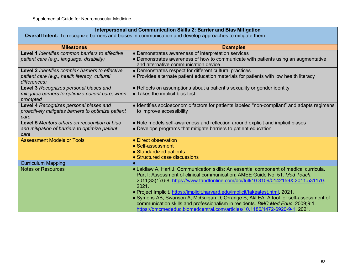## **Interpersonal and Communication Skills 2: Barrier and Bias Mitigation**

**Overall Intent:** To recognize barriers and biases in communication and develop approaches to mitigate them

| <b>Milestones</b>                                             | <b>Examples</b>                                                                             |
|---------------------------------------------------------------|---------------------------------------------------------------------------------------------|
| Level 1 Identifies common barriers to effective               | • Demonstrates awareness of interpretation services                                         |
| patient care (e.g., language, disability)                     | • Demonstrates awareness of how to communicate with patients using an augmentative          |
|                                                               | and alternative communication device                                                        |
| Level 2 Identifies complex barriers to effective              | • Demonstrates respect for different cultural practices                                     |
| patient care (e.g., health literacy, cultural<br>differences) | • Provides alternate patient education materials for patients with low health literacy      |
| Level 3 Recognizes personal biases and                        | • Reflects on assumptions about a patient's sexuality or gender identity                    |
| mitigates barriers to optimize patient care, when             | • Takes the implicit bias test                                                              |
| prompted                                                      |                                                                                             |
| Level 4 Recognizes personal biases and                        | • Identifies socioeconomic factors for patients labeled "non-compliant" and adapts regimens |
| proactively mitigates barriers to optimize patient            | to improve accessibility                                                                    |
| care                                                          |                                                                                             |
| Level 5 Mentors others on recognition of bias                 | • Role models self-awareness and reflection around explicit and implicit biases             |
| and mitigation of barriers to optimize patient                | • Develops programs that mitigate barriers to patient education                             |
| care                                                          |                                                                                             |
| <b>Assessment Models or Tools</b>                             | • Direct observation<br>• Self-assessment                                                   |
|                                                               | • Standardized patients                                                                     |
|                                                               | • Structured case discussions                                                               |
| <b>Curriculum Mapping</b>                                     |                                                                                             |
| <b>Notes or Resources</b>                                     | • Laidlaw A, Hart J. Communication skills: An essential component of medical curricula.     |
|                                                               | Part I: Assessment of clinical communication: AMEE Guide No. 51. Med Teach.                 |
|                                                               | 2011;33(1):6-8. https://www.tandfonline.com/doi/full/10.3109/0142159X.2011.531170.          |
|                                                               | 2021.                                                                                       |
|                                                               | . Project Implicit. https://implicit.harvard.edu/implicit/takeatest.html 2021.              |
|                                                               | • Symons AB, Swanson A, McGuigan D, Orrange S, AkI EA. A tool for self-assessment of        |
|                                                               | communication skills and professionalism in residents. BMC Med Educ. 2009;9:1.              |
|                                                               | https://bmcmededuc.biomedcentral.com/articles/10.1186/1472-6920-9-1. 2021.                  |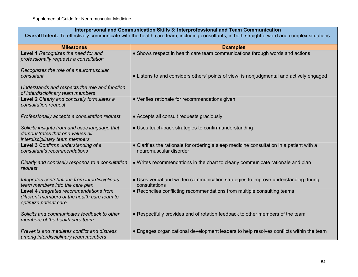## **Interpersonal and Communication Skills 3: Interprofessional and Team Communication**

**Overall Intent:** To effectively communicate with the health care team, including consultants, in both straightforward and complex situations

| <b>Milestones</b>                                                                                                   | <b>Examples</b>                                                                                                    |
|---------------------------------------------------------------------------------------------------------------------|--------------------------------------------------------------------------------------------------------------------|
| Level 1 Recognizes the need for and<br>professionally requests a consultation                                       | • Shows respect in health care team communications through words and actions                                       |
| Recognizes the role of a neuromuscular<br>consultant                                                                |                                                                                                                    |
|                                                                                                                     | • Listens to and considers others' points of view; is nonjudgmental and actively engaged                           |
| Understands and respects the role and function<br>of interdisciplinary team members                                 |                                                                                                                    |
| Level 2 Clearly and concisely formulates a<br>consultation request                                                  | • Verifies rationale for recommendations given                                                                     |
| Professionally accepts a consultation request                                                                       | • Accepts all consult requests graciously                                                                          |
| Solicits insights from and uses language that<br>demonstrates that one values all<br>interdisciplinary team members | • Uses teach-back strategies to confirm understanding                                                              |
| Level 3 Confirms understanding of a<br>consultant's recommendations                                                 | • Clarifies the rationale for ordering a sleep medicine consultation in a patient with a<br>neuromuscular disorder |
| Clearly and concisely responds to a consultation<br>request                                                         | • Writes recommendations in the chart to clearly communicate rationale and plan                                    |
| Integrates contributions from interdisciplinary<br>team members into the care plan                                  | • Uses verbal and written communication strategies to improve understanding during<br>consultations                |
| Level 4 Integrates recommendations from<br>different members of the health care team to<br>optimize patient care    | • Reconciles conflicting recommendations from multiple consulting teams                                            |
| Solicits and communicates feedback to other<br>members of the health care team                                      | • Respectfully provides end of rotation feedback to other members of the team                                      |
| Prevents and mediates conflict and distress<br>among interdisciplinary team members                                 | • Engages organizational development leaders to help resolves conflicts within the team                            |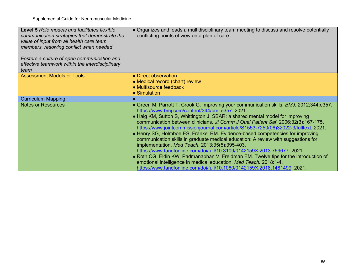| <b>Level 5 Role models and facilitates flexible</b><br>communication strategies that demonstrate the<br>value of input from all health care team<br>members, resolving conflict when needed<br>Fosters a culture of open communication and<br>effective teamwork within the interdisciplinary<br>team | • Organizes and leads a multidisciplinary team meeting to discuss and resolve potentially<br>conflicting points of view on a plan of care |
|-------------------------------------------------------------------------------------------------------------------------------------------------------------------------------------------------------------------------------------------------------------------------------------------------------|-------------------------------------------------------------------------------------------------------------------------------------------|
| <b>Assessment Models or Tools</b>                                                                                                                                                                                                                                                                     | • Direct observation                                                                                                                      |
|                                                                                                                                                                                                                                                                                                       | • Medical record (chart) review                                                                                                           |
|                                                                                                                                                                                                                                                                                                       | • Multisource feedback                                                                                                                    |
|                                                                                                                                                                                                                                                                                                       | $\bullet$ Simulation                                                                                                                      |
| <b>Curriculum Mapping</b>                                                                                                                                                                                                                                                                             |                                                                                                                                           |
| <b>Notes or Resources</b>                                                                                                                                                                                                                                                                             | • Green M, Parrott T, Crook G. Improving your communication skills. BMJ. 2012;344:e357.<br>https://www.bmj.com/content/344/bmj.e357 2021. |
|                                                                                                                                                                                                                                                                                                       | • Haig KM, Sutton S, Whittington J. SBAR: a shared mental model for improving                                                             |
|                                                                                                                                                                                                                                                                                                       | communication between clinicians. Jt Comm J Qual Patient Saf. 2006;32(3):167-175.                                                         |
|                                                                                                                                                                                                                                                                                                       | https://www.jointcommissionjournal.com/article/S1553-7250(06)32022-3/fulltext. 2021.                                                      |
|                                                                                                                                                                                                                                                                                                       | • Henry SG, Holmboe ES, Frankel RM. Evidence-based competencies for improving                                                             |
|                                                                                                                                                                                                                                                                                                       | communication skills in graduate medical education: A review with suggestions for                                                         |
|                                                                                                                                                                                                                                                                                                       | implementation. Med Teach. 2013;35(5):395-403.                                                                                            |
|                                                                                                                                                                                                                                                                                                       | https://www.tandfonline.com/doi/full/10.3109/0142159X.2013.769677. 2021.                                                                  |
|                                                                                                                                                                                                                                                                                                       | • Roth CG, Eldin KW, Padmanabhan V, Freidman EM. Twelve tips for the introduction of                                                      |
|                                                                                                                                                                                                                                                                                                       | emotional intelligence in medical education. Med Teach. 2018:1-4.                                                                         |
|                                                                                                                                                                                                                                                                                                       | https://www.tandfonline.com/doi/full/10.1080/0142159X.2018.1481499. 2021.                                                                 |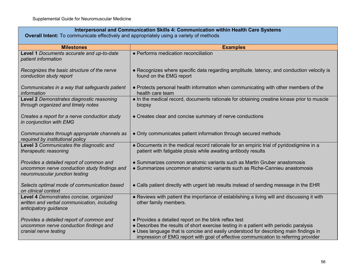| Interpersonal and Communication Skills 4: Communication within Health Care Systems<br><b>Overall Intent:</b> To communicate effectively and appropriately using a variety of methods |                                                                                                                                                                                                                                                                                                                                 |
|--------------------------------------------------------------------------------------------------------------------------------------------------------------------------------------|---------------------------------------------------------------------------------------------------------------------------------------------------------------------------------------------------------------------------------------------------------------------------------------------------------------------------------|
| <b>Milestones</b>                                                                                                                                                                    | <b>Examples</b>                                                                                                                                                                                                                                                                                                                 |
| Level 1 Documents accurate and up-to-date<br>patient information                                                                                                                     | • Performs medication reconciliation                                                                                                                                                                                                                                                                                            |
| Recognizes the basic structure of the nerve<br>conduction study report                                                                                                               | • Recognizes where specific data regarding amplitude, latency, and conduction velocity is<br>found on the EMG report                                                                                                                                                                                                            |
| Communicates in a way that safeguards patient<br>information                                                                                                                         | • Protects personal health information when communicating with other members of the<br>health care team                                                                                                                                                                                                                         |
| Level 2 Demonstrates diagnostic reasoning<br>through organized and timely notes                                                                                                      | • In the medical record, documents rationale for obtaining creatine kinase prior to muscle<br>biopsy                                                                                                                                                                                                                            |
| Creates a report for a nerve conduction study<br>in conjunction with EMG                                                                                                             | • Creates clear and concise summary of nerve conductions                                                                                                                                                                                                                                                                        |
| Communicates through appropriate channels as<br>required by institutional policy                                                                                                     | • Only communicates patient information through secured methods                                                                                                                                                                                                                                                                 |
| Level 3 Communicates the diagnostic and<br>therapeutic reasoning                                                                                                                     | • Documents in the medical record rationale for an empiric trial of pyridostigmine in a<br>patient with fatigable ptosis while awaiting antibody results                                                                                                                                                                        |
| Provides a detailed report of common and<br>uncommon nerve conduction study findings and<br>neuromuscular junction testing                                                           | • Summarizes common anatomic variants such as Martin Gruber anastomosis<br>• Summarizes uncommon anatomic variants such as Riche-Cannieu anastomosis                                                                                                                                                                            |
| Selects optimal mode of communication based<br>on clinical context                                                                                                                   | • Calls patient directly with urgent lab results instead of sending message in the EHR                                                                                                                                                                                                                                          |
| Level 4 Demonstrates concise, organized<br>written and verbal communication, including<br>anticipatory guidance                                                                      | • Reviews with patient the importance of establishing a living will and discussing it with<br>other family members.                                                                                                                                                                                                             |
| Provides a detailed report of common and<br>uncommon nerve conduction findings and<br>cranial nerve testing                                                                          | • Provides a detailed report on the blink reflex test<br>• Describes the results of short exercise testing in a patient with periodic paralysis<br>• Uses language that is concise and easily understood for describing main findings in<br>impression of EMG report with goal of effective communication to referring provider |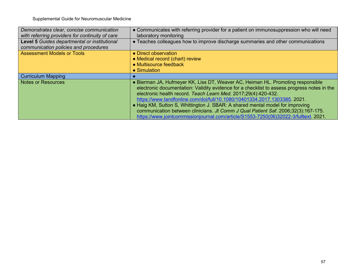Supplemental Guide for Neuromuscular Medicine

| Demonstrates clear, concise communication       | • Communicates with referring provider for a patient on immunosuppression who will need     |
|-------------------------------------------------|---------------------------------------------------------------------------------------------|
| with referring providers for continuity of care | laboratory monitoring                                                                       |
| Level 5 Guides departmental or institutional    | • Teaches colleagues how to improve discharge summaries and other communications            |
| communication policies and procedures           |                                                                                             |
| <b>Assessment Models or Tools</b>               | • Direct observation                                                                        |
|                                                 | • Medical record (chart) review                                                             |
|                                                 | • Multisource feedback                                                                      |
|                                                 | • Simulation                                                                                |
|                                                 |                                                                                             |
| <b>Curriculum Mapping</b>                       |                                                                                             |
| <b>Notes or Resources</b>                       | • Bierman JA, Hufmeyer KK, Liss DT, Weaver AC, Heiman HL. Promoting responsible             |
|                                                 | electronic documentation: Validity evidence for a checklist to assess progress notes in the |
|                                                 | electronic health record. Teach Learn Med. 2017;29(4):420-432.                              |
|                                                 | https://www.tandfonline.com/doi/full/10.1080/10401334.2017.1303385. 2021.                   |
|                                                 | • Haig KM, Sutton S, Whittington J. SBAR: A shared mental model for improving               |
|                                                 | communication between clinicians. Jt Comm J Qual Patient Saf. 2006;32(3):167-175.           |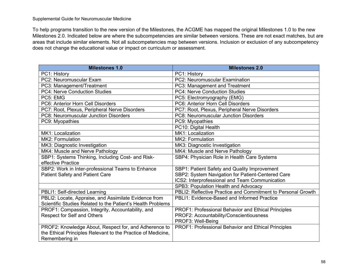To help programs transition to the new version of the Milestones, the ACGME has mapped the original Milestones 1.0 to the new Milestones 2.0. Indicated below are where the subcompetencies are similar between versions. These are not exact matches, but are areas that include similar elements. Not all subcompetencies map between versions. Inclusion or exclusion of any subcompetency does not change the educational value or impact on curriculum or assessment.

| <b>Milestones 1.0</b>                                        | <b>Milestones 2.0</b>                                        |
|--------------------------------------------------------------|--------------------------------------------------------------|
| PC1: History                                                 | PC1: History                                                 |
| PC2: Neuromuscular Exam                                      | <b>PC2: Neuromuscular Examination</b>                        |
| PC3: Management/Treatment                                    | PC3: Management and Treatment                                |
| <b>PC4: Nerve Conduction Studies</b>                         | <b>PC4: Nerve Conduction Studies</b>                         |
| PC5: EMG                                                     | PC5: Electromyography (EMG)                                  |
| PC6: Anterior Horn Cell Disorders                            | PC6: Anterior Horn Cell Disorders                            |
| PC7: Root, Plexus, Peripheral Nerve Disorders                | PC7: Root, Plexus, Peripheral Nerve Disorders                |
| PC8: Neuromuscular Junction Disorders                        | PC8: Neuromuscular Junction Disorders                        |
| PC9: Myopathies                                              | PC9: Myopathies                                              |
|                                                              | PC10: Digital Health                                         |
| MK1: Localization                                            | MK1: Localization                                            |
| MK2: Formulation                                             | MK2: Formulation                                             |
| MK3: Diagnostic Investigation                                | MK3: Diagnostic Investigation                                |
| MK4: Muscle and Nerve Pathology                              | MK4: Muscle and Nerve Pathology                              |
| SBP1: Systems Thinking, Including Cost- and Risk-            | SBP4: Physician Role in Health Care Systems                  |
| effective Practice                                           |                                                              |
| SBP2: Work in Inter-professional Teams to Enhance            | SBP1: Patient Safety and Quality Improvement                 |
| <b>Patient Safety and Patient Care</b>                       | SBP2: System Navigation for Patient-Centered Care            |
|                                                              | ICS2: Interprofessional and Team Communication               |
|                                                              | SPB3: Population Health and Advocacy                         |
| PBLI1: Self-directed Learning                                | PBLI2: Reflective Practice and Commitment to Personal Growth |
| PBLI2: Locate, Appraise, and Assimilate Evidence from        | PBLI1: Evidence-Based and Informed Practice                  |
| Scientific Studies Related to the Patient's Health Problems  |                                                              |
| PROF1: Compassion, Integrity, Accountability, and            | PROF1: Professional Behavior and Ethical Principles          |
| Respect for Self and Others                                  | PROF2: Accountability/Conscientiousness                      |
|                                                              | PROF3: Well-Being                                            |
| PROF2: Knowledge About, Respect for, and Adherence to        | PROF1: Professional Behavior and Ethical Principles          |
| the Ethical Principles Relevant to the Practice of Medicine, |                                                              |
| Remembering in                                               |                                                              |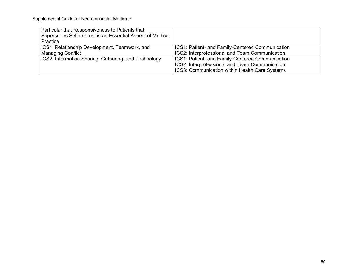| Particular that Responsiveness to Patients that<br>Supersedes Self-interest is an Essential Aspect of Medical<br>Practice |                                                                                                                                                      |
|---------------------------------------------------------------------------------------------------------------------------|------------------------------------------------------------------------------------------------------------------------------------------------------|
| ICS1: Relationship Development, Teamwork, and<br><b>Managing Conflict</b>                                                 | ICS1: Patient- and Family-Centered Communication<br>ICS2: Interprofessional and Team Communication                                                   |
| ICS2: Information Sharing, Gathering, and Technology                                                                      | ICS1: Patient- and Family-Centered Communication<br>ICS2: Interprofessional and Team Communication<br>ICS3: Communication within Health Care Systems |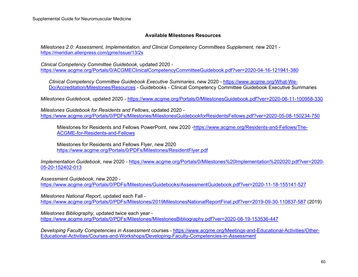#### **Available Milestones Resources**

*Milestones 2.0: Assessment, Implementation, and Clinical Competency Committees Supplement, new 2021* <https://meridian.allenpress.com/jgme/issue/13/2s>

*Clinical Competency Committee Guidebook*, updated 2020 <https://www.acgme.org/Portals/0/ACGMEClinicalCompetencyCommitteeGuidebook.pdf?ver=2020-04-16-121941-380>

*Clinical Competency Committee Guidebook Executive Summaries*, new 2020 - [https://www.acgme.org/What-We-](https://www.acgme.org/What-We-Do/Accreditation/Milestones/Resources)[Do/Accreditation/Milestones/Resources](https://www.acgme.org/What-We-Do/Accreditation/Milestones/Resources) - Guidebooks - Clinical Competency Committee Guidebook Executive Summaries

*Milestones Guidebook*, updated 2020 - <https://www.acgme.org/Portals/0/MilestonesGuidebook.pdf?ver=2020-06-11-100958-330>

*Milestones Guidebook for Residents and Fellows*, updated 2020 <https://www.acgme.org/Portals/0/PDFs/Milestones/MilestonesGuidebookforResidentsFellows.pdf?ver=2020-05-08-150234-750>

Milestones for Residents and Fellows PowerPoint, new 2020 [-https://www.acgme.org/Residents-and-Fellows/The-](https://www.acgme.org/Residents-and-Fellows/The-ACGME-for-Residents-and-Fellows)[ACGME-for-Residents-and-Fellows](https://www.acgme.org/Residents-and-Fellows/The-ACGME-for-Residents-and-Fellows)

Milestones for Residents and Fellows Flyer, new 2020 <https://www.acgme.org/Portals/0/PDFs/Milestones/ResidentFlyer.pdf>

*Implementation Guidebook*, new 2020 - [https://www.acgme.org/Portals/0/Milestones%20Implementation%202020.pdf?ver=2020-](https://www.acgme.org/Portals/0/Milestones%20Implementation%202020.pdf?ver=2020-05-20-152402-013) [05-20-152402-013](https://www.acgme.org/Portals/0/Milestones%20Implementation%202020.pdf?ver=2020-05-20-152402-013)

*Assessment Guidebook*, new 2020 -

<https://www.acgme.org/Portals/0/PDFs/Milestones/Guidebooks/AssessmentGuidebook.pdf?ver=2020-11-18-155141-527>

*Milestones National Report*, updated each Fall <https://www.acgme.org/Portals/0/PDFs/Milestones/2019MilestonesNationalReportFinal.pdf?ver=2019-09-30-110837-587> (2019)

*Milestones Bibliography*, updated twice each year <https://www.acgme.org/Portals/0/PDFs/Milestones/MilestonesBibliography.pdf?ver=2020-08-19-153536-447>

*Developing Faculty Competencies in Assessment* courses - [https://www.acgme.org/Meetings-and-Educational-Activities/Other-](https://www.acgme.org/Meetings-and-Educational-Activities/Other-Educational-Activities/Courses-and-Workshops/Developing-Faculty-Competencies-in-Assessment)[Educational-Activities/Courses-and-Workshops/Developing-Faculty-Competencies-in-Assessment](https://www.acgme.org/Meetings-and-Educational-Activities/Other-Educational-Activities/Courses-and-Workshops/Developing-Faculty-Competencies-in-Assessment)